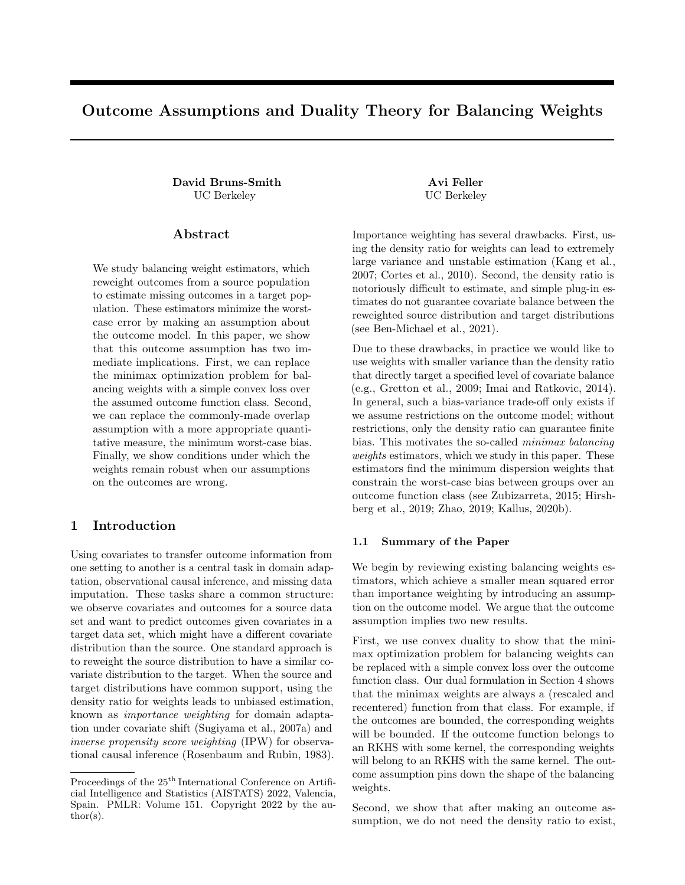# Outcome Assumptions and Duality Theory for Balancing Weights

David Bruns-Smith Avi Feller UC Berkeley UC Berkeley

#### Abstract

We study balancing weight estimators, which reweight outcomes from a source population to estimate missing outcomes in a target population. These estimators minimize the worstcase error by making an assumption about the outcome model. In this paper, we show that this outcome assumption has two immediate implications. First, we can replace the minimax optimization problem for balancing weights with a simple convex loss over the assumed outcome function class. Second, we can replace the commonly-made overlap assumption with a more appropriate quantitative measure, the minimum worst-case bias. Finally, we show conditions under which the weights remain robust when our assumptions on the outcomes are wrong.

## 1 Introduction

Using covariates to transfer outcome information from one setting to another is a central task in domain adaptation, observational causal inference, and missing data imputation. These tasks share a common structure: we observe covariates and outcomes for a source data set and want to predict outcomes given covariates in a target data set, which might have a different covariate distribution than the source. One standard approach is to reweight the source distribution to have a similar covariate distribution to the target. When the source and target distributions have common support, using the density ratio for weights leads to unbiased estimation, known as importance weighting for domain adaptation under covariate shift (Sugiyama et al., 2007a) and inverse propensity score weighting (IPW) for observational causal inference (Rosenbaum and Rubin, 1983).

Importance weighting has several drawbacks. First, using the density ratio for weights can lead to extremely large variance and unstable estimation (Kang et al., 2007; Cortes et al., 2010). Second, the density ratio is notoriously difficult to estimate, and simple plug-in estimates do not guarantee covariate balance between the reweighted source distribution and target distributions (see Ben-Michael et al., 2021).

Due to these drawbacks, in practice we would like to use weights with smaller variance than the density ratio that directly target a specified level of covariate balance (e.g., Gretton et al., 2009; Imai and Ratkovic, 2014). In general, such a bias-variance trade-off only exists if we assume restrictions on the outcome model; without restrictions, only the density ratio can guarantee finite bias. This motivates the so-called minimax balancing weights estimators, which we study in this paper. These estimators find the minimum dispersion weights that constrain the worst-case bias between groups over an outcome function class (see Zubizarreta, 2015; Hirshberg et al., 2019; Zhao, 2019; Kallus, 2020b).

#### 1.1 Summary of the Paper

We begin by reviewing existing balancing weights estimators, which achieve a smaller mean squared error than importance weighting by introducing an assumption on the outcome model. We argue that the outcome assumption implies two new results.

First, we use convex duality to show that the minimax optimization problem for balancing weights can be replaced with a simple convex loss over the outcome function class. Our dual formulation in Section 4 shows that the minimax weights are always a (rescaled and recentered) function from that class. For example, if the outcomes are bounded, the corresponding weights will be bounded. If the outcome function belongs to an RKHS with some kernel, the corresponding weights will belong to an RKHS with the same kernel. The outcome assumption pins down the shape of the balancing weights.

Second, we show that after making an outcome assumption, we do not need the density ratio to exist,

Proceedings of the  $25<sup>th</sup>$  International Conference on Artificial Intelligence and Statistics (AISTATS) 2022, Valencia, Spain. PMLR: Volume 151. Copyright 2022 by the author(s).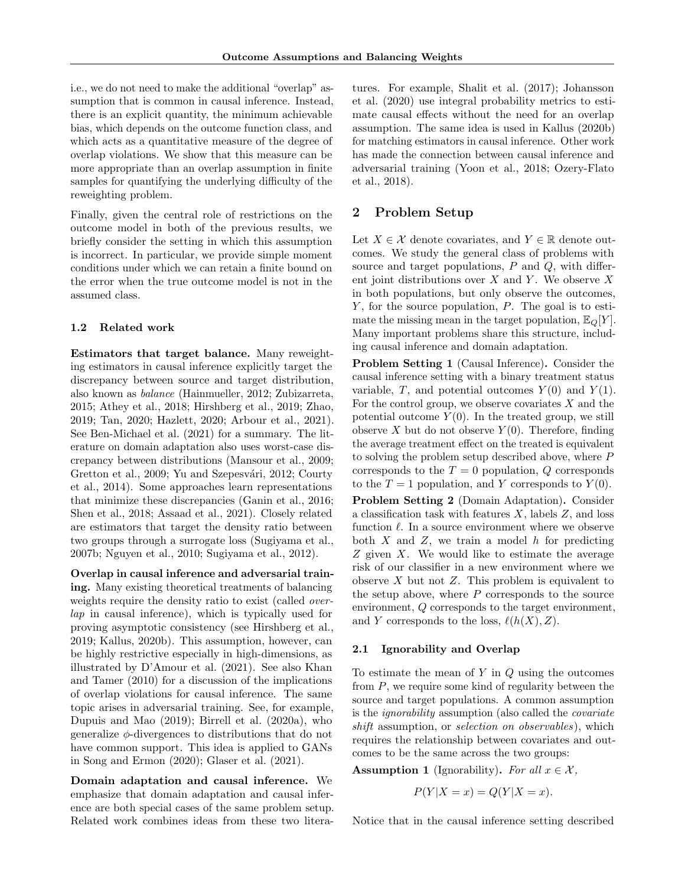i.e., we do not need to make the additional "overlap" assumption that is common in causal inference. Instead, there is an explicit quantity, the minimum achievable bias, which depends on the outcome function class, and which acts as a quantitative measure of the degree of overlap violations. We show that this measure can be more appropriate than an overlap assumption in finite samples for quantifying the underlying difficulty of the reweighting problem.

Finally, given the central role of restrictions on the outcome model in both of the previous results, we briefly consider the setting in which this assumption is incorrect. In particular, we provide simple moment conditions under which we can retain a finite bound on the error when the true outcome model is not in the assumed class.

#### 1.2 Related work

Estimators that target balance. Many reweighting estimators in causal inference explicitly target the discrepancy between source and target distribution, also known as balance (Hainmueller, 2012; Zubizarreta, 2015; Athey et al., 2018; Hirshberg et al., 2019; Zhao, 2019; Tan, 2020; Hazlett, 2020; Arbour et al., 2021). See Ben-Michael et al. (2021) for a summary. The literature on domain adaptation also uses worst-case discrepancy between distributions (Mansour et al., 2009; Gretton et al., 2009; Yu and Szepesvári, 2012; Courty et al., 2014). Some approaches learn representations that minimize these discrepancies (Ganin et al., 2016; Shen et al., 2018; Assaad et al., 2021). Closely related are estimators that target the density ratio between two groups through a surrogate loss (Sugiyama et al., 2007b; Nguyen et al., 2010; Sugiyama et al., 2012).

Overlap in causal inference and adversarial training. Many existing theoretical treatments of balancing weights require the density ratio to exist (called overlap in causal inference), which is typically used for proving asymptotic consistency (see Hirshberg et al., 2019; Kallus, 2020b). This assumption, however, can be highly restrictive especially in high-dimensions, as illustrated by D'Amour et al. (2021). See also Khan and Tamer (2010) for a discussion of the implications of overlap violations for causal inference. The same topic arises in adversarial training. See, for example, Dupuis and Mao (2019); Birrell et al. (2020a), who generalize ϕ-divergences to distributions that do not have common support. This idea is applied to GANs in Song and Ermon (2020); Glaser et al. (2021).

Domain adaptation and causal inference. We emphasize that domain adaptation and causal inference are both special cases of the same problem setup. Related work combines ideas from these two litera-

tures. For example, Shalit et al. (2017); Johansson et al. (2020) use integral probability metrics to estimate causal effects without the need for an overlap assumption. The same idea is used in Kallus (2020b) for matching estimators in causal inference. Other work has made the connection between causal inference and adversarial training (Yoon et al., 2018; Ozery-Flato et al., 2018).

## 2 Problem Setup

Let  $X \in \mathcal{X}$  denote covariates, and  $Y \in \mathbb{R}$  denote outcomes. We study the general class of problems with source and target populations,  $P$  and  $Q$ , with different joint distributions over  $X$  and  $Y$ . We observe  $X$ in both populations, but only observe the outcomes,  $Y$ , for the source population,  $P$ . The goal is to estimate the missing mean in the target population,  $\mathbb{E}_{Q}[Y]$ . Many important problems share this structure, including causal inference and domain adaptation.

Problem Setting 1 (Causal Inference). Consider the causal inference setting with a binary treatment status variable, T, and potential outcomes  $Y(0)$  and  $Y(1)$ . For the control group, we observe covariates  $X$  and the potential outcome  $Y(0)$ . In the treated group, we still observe X but do not observe  $Y(0)$ . Therefore, finding the average treatment effect on the treated is equivalent to solving the problem setup described above, where P corresponds to the  $T = 0$  population, Q corresponds to the  $T = 1$  population, and Y corresponds to  $Y(0)$ .

Problem Setting 2 (Domain Adaptation). Consider a classification task with features  $X$ , labels  $Z$ , and loss function  $\ell$ . In a source environment where we observe both  $X$  and  $Z$ , we train a model  $h$  for predicting Z given X. We would like to estimate the average risk of our classifier in a new environment where we observe  $X$  but not  $Z$ . This problem is equivalent to the setup above, where  $P$  corresponds to the source environment, Q corresponds to the target environment, and Y corresponds to the loss,  $\ell(h(X), Z)$ .

## 2.1 Ignorability and Overlap

To estimate the mean of  $Y$  in  $Q$  using the outcomes from  $P$ , we require some kind of regularity between the source and target populations. A common assumption is the ignorability assumption (also called the covariate shift assumption, or *selection* on *observables*), which requires the relationship between covariates and outcomes to be the same across the two groups:

**Assumption 1** (Ignorability). For all  $x \in \mathcal{X}$ ,

$$
P(Y|X = x) = Q(Y|X = x).
$$

Notice that in the causal inference setting described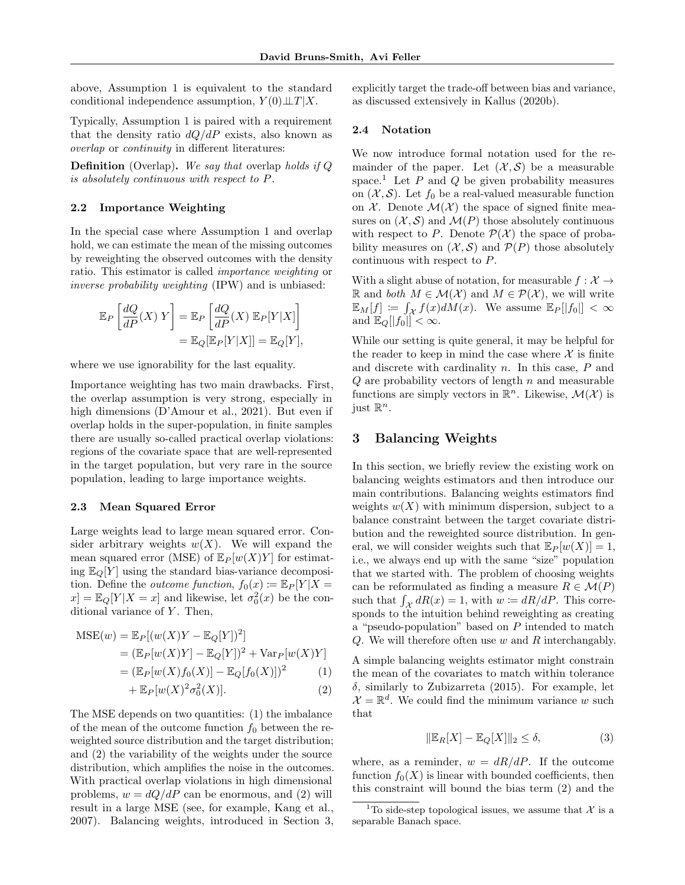above, Assumption 1 is equivalent to the standard conditional independence assumption,  $Y(0) \perp T \mid X$ .

Typically, Assumption 1 is paired with a requirement that the density ratio  $dQ/dP$  exists, also known as overlap or continuity in different literatures:

**Definition** (Overlap). We say that overlap holds if  $Q$ is absolutely continuous with respect to P.

### 2.2 Importance Weighting

In the special case where Assumption 1 and overlap hold, we can estimate the mean of the missing outcomes by reweighting the observed outcomes with the density ratio. This estimator is called importance weighting or inverse probability weighting (IPW) and is unbiased:

$$
\mathbb{E}_P\left[\frac{dQ}{dP}(X) Y\right] = \mathbb{E}_P\left[\frac{dQ}{dP}(X) \mathbb{E}_P[Y|X]\right] \n= \mathbb{E}_Q[\mathbb{E}_P[Y|X]] = \mathbb{E}_Q[Y],
$$

where we use ignorability for the last equality.

Importance weighting has two main drawbacks. First, the overlap assumption is very strong, especially in high dimensions (D'Amour et al., 2021). But even if overlap holds in the super-population, in finite samples there are usually so-called practical overlap violations: regions of the covariate space that are well-represented in the target population, but very rare in the source population, leading to large importance weights.

#### 2.3 Mean Squared Error

Large weights lead to large mean squared error. Consider arbitrary weights  $w(X)$ . We will expand the mean squared error (MSE) of  $\mathbb{E}_P[w(X)Y]$  for estimating  $\mathbb{E}_{\mathcal{Q}}[Y]$  using the standard bias-variance decomposition. Define the *outcome function*,  $f_0(x) := \mathbb{E}_P[Y|X =$  $x$  =  $\mathbb{E}_{Q}[Y|X=x]$  and likewise, let  $\sigma_0^2(x)$  be the conditional variance of  $Y$ . Then,

$$
MSE(w) = \mathbb{E}_P[(w(X)Y - \mathbb{E}_Q[Y])^2]
$$
  
= 
$$
(\mathbb{E}_P[w(X)Y] - \mathbb{E}_Q[Y])^2 + \text{Var}_P[w(X)Y]
$$
  
= 
$$
(\mathbb{E}_P[w(X)f_0(X)] - \mathbb{E}_Q[f_0(X)])^2
$$
 (1)

$$
+\,\mathbb{E}_P[w(X)^2\sigma_0^2(X)].\tag{2}
$$

The MSE depends on two quantities: (1) the imbalance of the mean of the outcome function  $f_0$  between the reweighted source distribution and the target distribution; and (2) the variability of the weights under the source distribution, which amplifies the noise in the outcomes. With practical overlap violations in high dimensional problems,  $w = dQ/dP$  can be enormous, and (2) will result in a large MSE (see, for example, Kang et al., 2007). Balancing weights, introduced in Section 3, explicitly target the trade-off between bias and variance, as discussed extensively in Kallus (2020b).

#### 2.4 Notation

We now introduce formal notation used for the remainder of the paper. Let  $(\mathcal{X}, \mathcal{S})$  be a measurable space.<sup>1</sup> Let  $P$  and  $Q$  be given probability measures on  $(X, S)$ . Let  $f_0$  be a real-valued measurable function on  $X$ . Denote  $\mathcal{M}(\mathcal{X})$  the space of signed finite measures on  $(X, S)$  and  $\mathcal{M}(P)$  those absolutely continuous with respect to P. Denote  $\mathcal{P}(\mathcal{X})$  the space of probability measures on  $(X, S)$  and  $\mathcal{P}(P)$  those absolutely continuous with respect to P.

With a slight abuse of notation, for measurable  $f: \mathcal{X} \rightarrow$ R and both  $M$  ∈  $M(X)$  and  $M ∈ \mathcal{P}(X)$ , we will write  $\mathbb{E}_M[f] \coloneqq \int_{\mathcal{X}} f(x) dM(x)$ . We assume  $\mathbb{E}_P[|f_0|] < \infty$ and  $\mathbb{E}_Q[|f_0|] < \infty$ .

While our setting is quite general, it may be helpful for the reader to keep in mind the case where  $\mathcal X$  is finite and discrete with cardinality  $n$ . In this case,  $P$  and  $Q$  are probability vectors of length  $n$  and measurable functions are simply vectors in  $\mathbb{R}^n$ . Likewise,  $\mathcal{M}(\mathcal{X})$  is just  $\mathbb{R}^n$ .

## 3 Balancing Weights

In this section, we briefly review the existing work on balancing weights estimators and then introduce our main contributions. Balancing weights estimators find weights  $w(X)$  with minimum dispersion, subject to a balance constraint between the target covariate distribution and the reweighted source distribution. In general, we will consider weights such that  $\mathbb{E}_P[w(X)] = 1$ , i.e., we always end up with the same "size" population that we started with. The problem of choosing weights can be reformulated as finding a measure  $R \in \mathcal{M}(P)$ such that  $\int_{\mathcal{X}} dR(x) = 1$ , with  $w \coloneqq dR/dP$ . This corresponds to the intuition behind reweighting as creating a "pseudo-population" based on  $P$  intended to match  $Q$ . We will therefore often use  $w$  and  $R$  interchangably.

A simple balancing weights estimator might constrain the mean of the covariates to match within tolerance δ, similarly to Zubizarreta (2015). For example, let  $\mathcal{X} = \mathbb{R}^d$ . We could find the minimum variance w such that

$$
\|\mathbb{E}_R[X] - \mathbb{E}_Q[X]\|_2 \le \delta,\tag{3}
$$

where, as a reminder,  $w = dR/dP$ . If the outcome function  $f_0(X)$  is linear with bounded coefficients, then this constraint will bound the bias term (2) and the

<sup>&</sup>lt;sup>1</sup>To side-step topological issues, we assume that  $\mathcal{X}$  is a separable Banach space.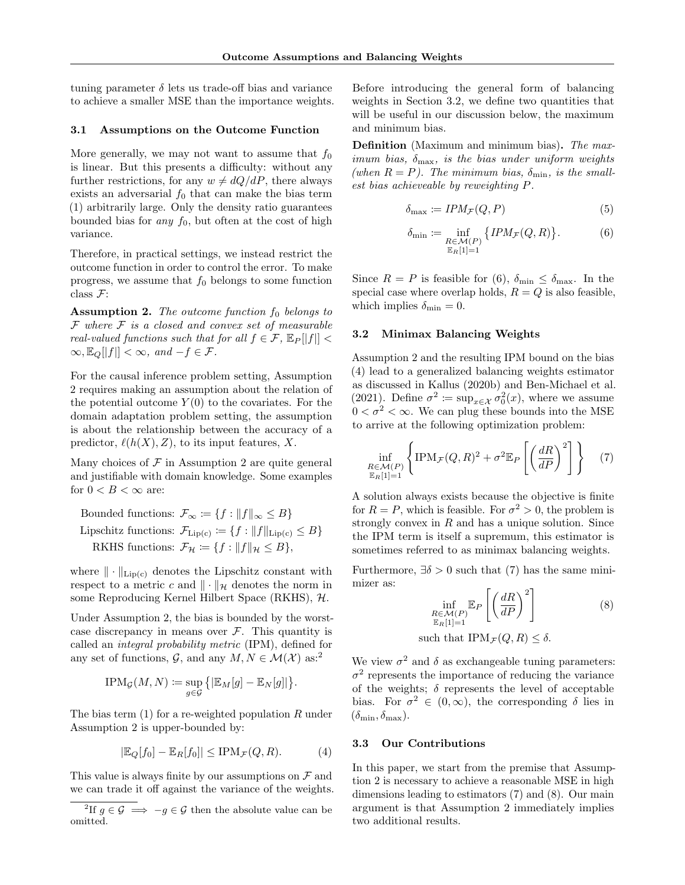tuning parameter  $\delta$  lets us trade-off bias and variance to achieve a smaller MSE than the importance weights.

#### 3.1 Assumptions on the Outcome Function

More generally, we may not want to assume that  $f_0$ is linear. But this presents a difficulty: without any further restrictions, for any  $w \neq dQ/dP$ , there always exists an adversarial  $f_0$  that can make the bias term (1) arbitrarily large. Only the density ratio guarantees bounded bias for *any*  $f_0$ , but often at the cost of high variance.

Therefore, in practical settings, we instead restrict the outcome function in order to control the error. To make progress, we assume that  $f_0$  belongs to some function class  $\mathcal{F}$ :

**Assumption 2.** The outcome function  $f_0$  belongs to  $F$  where  $F$  is a closed and convex set of measurable real-valued functions such that for all  $f \in \mathcal{F}$ ,  $\mathbb{E}_P[|f|]$  <  $\infty, \mathbb{E}_{Q}[|f|] < \infty$ , and  $-f \in \mathcal{F}$ .

For the causal inference problem setting, Assumption 2 requires making an assumption about the relation of the potential outcome  $Y(0)$  to the covariates. For the domain adaptation problem setting, the assumption is about the relationship between the accuracy of a predictor,  $\ell(h(X), Z)$ , to its input features, X.

Many choices of  $F$  in Assumption 2 are quite general and justifiable with domain knowledge. Some examples for  $0 < B < \infty$  are:

Bounded functions:  $\mathcal{F}_{\infty} := \{f : ||f||_{\infty} \leq B\}$ Lipschitz functions:  $\mathcal{F}_{\text{Lip}(c)} \coloneqq \{f : ||f||_{\text{Lip}(c)} \leq B\}$ RKHS functions:  $\mathcal{F}_{\mathcal{H}} := \{f : ||f||_{\mathcal{H}} \leq B\},\$ 

where  $\|\cdot\|_{\text{Lip}(c)}$  denotes the Lipschitz constant with respect to a metric c and  $\|\cdot\|_{\mathcal{H}}$  denotes the norm in some Reproducing Kernel Hilbert Space (RKHS), H.

Under Assumption 2, the bias is bounded by the worstcase discrepancy in means over  $\mathcal F$ . This quantity is called an integral probability metric (IPM), defined for any set of functions,  $\mathcal{G}$ , and any  $M, N \in \mathcal{M}(\mathcal{X})$  as:<sup>2</sup>

$$
\text{IPM}_{\mathcal{G}}(M,N) \coloneqq \sup_{g \in \mathcal{G}} \left\{ \left| \mathbb{E}_M[g] - \mathbb{E}_N[g] \right| \right\}.
$$

The bias term  $(1)$  for a re-weighted population R under Assumption 2 is upper-bounded by:

$$
|\mathbb{E}_Q[f_0] - \mathbb{E}_R[f_0]| \le \text{IPM}_{\mathcal{F}}(Q, R). \tag{4}
$$

This value is always finite by our assumptions on  $\mathcal F$  and we can trade it off against the variance of the weights. Before introducing the general form of balancing weights in Section 3.2, we define two quantities that will be useful in our discussion below, the maximum and minimum bias.

Definition (Maximum and minimum bias). The maximum bias,  $\delta_{\text{max}}$ , is the bias under uniform weights (when  $R = P$ ). The minimum bias,  $\delta_{\min}$ , is the smallest bias achieveable by reweighting P.

$$
\delta_{\max} := IPM_{\mathcal{F}}(Q, P) \tag{5}
$$

$$
\delta_{\min} := \inf_{\substack{R \in \mathcal{M}(P) \\ \mathbb{E}_R[1]=1}} \{IPM_{\mathcal{F}}(Q, R)\}.
$$
 (6)

Since  $R = P$  is feasible for (6),  $\delta_{\min} \leq \delta_{\max}$ . In the special case where overlap holds,  $R = Q$  is also feasible, which implies  $\delta_{\min} = 0$ .

#### 3.2 Minimax Balancing Weights

Assumption 2 and the resulting IPM bound on the bias (4) lead to a generalized balancing weights estimator as discussed in Kallus (2020b) and Ben-Michael et al. (2021). Define  $\sigma^2 := \sup_{x \in \mathcal{X}} \sigma_0^2(x)$ , where we assume  $0 < \sigma^2 < \infty$ . We can plug these bounds into the MSE to arrive at the following optimization problem:

$$
\inf_{\substack{R \in \mathcal{M}(P) \\ \mathbb{E}_R[1]=1}} \left\{ \text{IPM}_{\mathcal{F}}(Q,R)^2 + \sigma^2 \mathbb{E}_P \left[ \left( \frac{dR}{dP} \right)^2 \right] \right\} \tag{7}
$$

A solution always exists because the objective is finite for  $R = P$ , which is feasible. For  $\sigma^2 > 0$ , the problem is strongly convex in  $R$  and has a unique solution. Since the IPM term is itself a supremum, this estimator is sometimes referred to as minimax balancing weights.

Furthermore,  $\exists \delta > 0$  such that (7) has the same minimizer as:

$$
\inf_{\substack{R \in \mathcal{M}(P) \\ \mathbb{E}_R[1]=1}} \mathbb{E}_P \left[ \left( \frac{dR}{dP} \right)^2 \right] \tag{8}
$$

such that  $IPM_{\mathcal{F}}(Q, R) \leq \delta$ .

We view  $\sigma^2$  and  $\delta$  as exchangeable tuning parameters:  $\sigma^2$  represents the importance of reducing the variance of the weights;  $\delta$  represents the level of acceptable bias. For  $\sigma^2 \in (0,\infty)$ , the corresponding  $\delta$  lies in  $(\delta_{\min}, \delta_{\max}).$ 

#### 3.3 Our Contributions

In this paper, we start from the premise that Assumption 2 is necessary to achieve a reasonable MSE in high dimensions leading to estimators (7) and (8). Our main argument is that Assumption 2 immediately implies two additional results.

<sup>&</sup>lt;sup>2</sup>If  $g \in \mathcal{G} \implies -g \in \mathcal{G}$  then the absolute value can be omitted.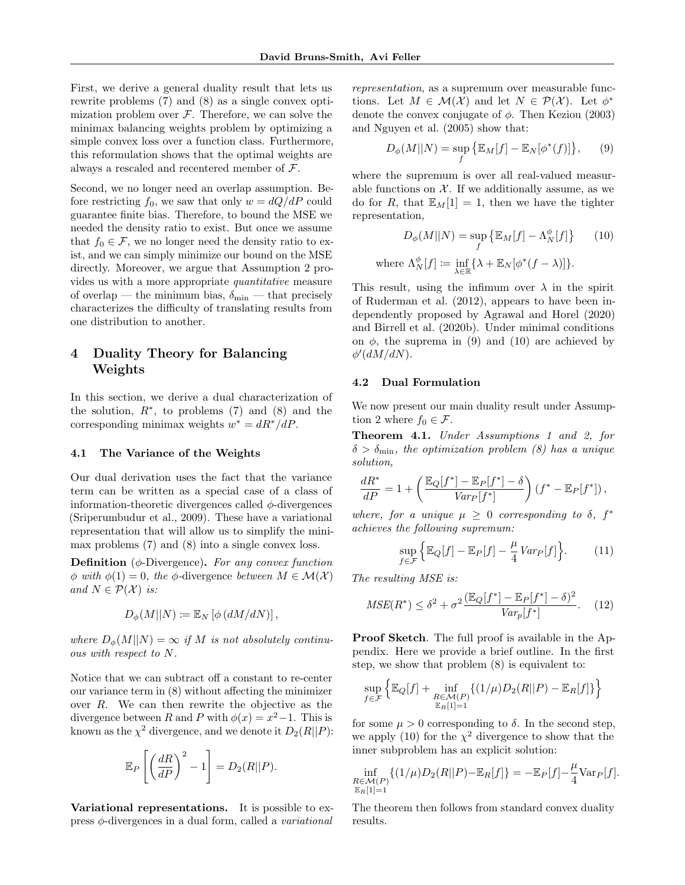First, we derive a general duality result that lets us rewrite problems (7) and (8) as a single convex optimization problem over  $\mathcal F$ . Therefore, we can solve the minimax balancing weights problem by optimizing a simple convex loss over a function class. Furthermore, this reformulation shows that the optimal weights are always a rescaled and recentered member of  $\mathcal{F}$ .

Second, we no longer need an overlap assumption. Before restricting  $f_0$ , we saw that only  $w = dQ/dP$  could guarantee finite bias. Therefore, to bound the MSE we needed the density ratio to exist. But once we assume that  $f_0 \in \mathcal{F}$ , we no longer need the density ratio to exist, and we can simply minimize our bound on the MSE directly. Moreover, we argue that Assumption 2 provides us with a more appropriate quantitative measure of overlap — the minimum bias,  $\delta_{\min}$  — that precisely characterizes the difficulty of translating results from one distribution to another.

# 4 Duality Theory for Balancing Weights

In this section, we derive a dual characterization of the solution,  $R^*$ , to problems (7) and (8) and the corresponding minimax weights  $w^* = dR^* / dP$ .

#### 4.1 The Variance of the Weights

Our dual derivation uses the fact that the variance term can be written as a special case of a class of information-theoretic divergences called  $\phi$ -divergences (Sriperumbudur et al., 2009). These have a variational representation that will allow us to simplify the minimax problems (7) and (8) into a single convex loss.

**Definition** ( $\phi$ -Divergence). For any convex function  $\phi$  with  $\phi(1) = 0$ , the  $\phi$ -divergence between  $M \in \mathcal{M}(\mathcal{X})$ and  $N \in \mathcal{P}(\mathcal{X})$  is:

$$
D_{\phi}(M||N) \coloneqq \mathbb{E}_N \left[ \phi \left( dM/dN \right) \right],
$$

where  $D_{\phi}(M||N) = \infty$  if M is not absolutely continuous with respect to N.

Notice that we can subtract off a constant to re-center our variance term in (8) without affecting the minimizer over R. We can then rewrite the objective as the divergence between R and P with  $\phi(x) = x^2 - 1$ . This is known as the  $\chi^2$  divergence, and we denote it  $D_2(R||P)$ :

$$
\mathbb{E}_P\left[\left(\frac{dR}{dP}\right)^2 - 1\right] = D_2(R||P).
$$

Variational representations. It is possible to express  $\phi$ -divergences in a dual form, called a *variational*  representation, as a supremum over measurable functions. Let  $M \in \mathcal{M}(\mathcal{X})$  and let  $N \in \mathcal{P}(\mathcal{X})$ . Let  $\phi^*$ denote the convex conjugate of  $\phi$ . Then Keziou (2003) and Nguyen et al. (2005) show that:

$$
D_{\phi}(M||N) = \sup_{f} \{ \mathbb{E}_M[f] - \mathbb{E}_N[\phi^*(f)] \}, \qquad (9)
$$

where the supremum is over all real-valued measurable functions on  $X$ . If we additionally assume, as we do for R, that  $\mathbb{E}_M[1] = 1$ , then we have the tighter representation,

$$
D_{\phi}(M||N) = \sup_{f} \{ \mathbb{E}_{M}[f] - \Lambda_{N}^{\phi}[f] \}
$$
 (10)  
where  $\Lambda_{N}^{\phi}[f] := \inf_{\lambda \in \mathbb{R}} \{ \lambda + \mathbb{E}_{N}[\phi^{*}(f - \lambda)] \}.$ 

This result, using the infimum over  $\lambda$  in the spirit of Ruderman et al. (2012), appears to have been independently proposed by Agrawal and Horel (2020) and Birrell et al. (2020b). Under minimal conditions on  $\phi$ , the suprema in (9) and (10) are achieved by  $\phi'(dM/dN)$ .

#### 4.2 Dual Formulation

We now present our main duality result under Assumption 2 where  $f_0 \in \mathcal{F}$ .

Theorem 4.1. Under Assumptions 1 and 2, for  $\delta > \delta_{\min}$ , the optimization problem (8) has a unique solution,

$$
\frac{dR^*}{dP} = 1 + \left(\frac{\mathbb{E}_Q[f^*] - \mathbb{E}_P[f^*] - \delta}{Var_P[f^*]} \right) (f^* - \mathbb{E}_P[f^*]),
$$

where, for a unique  $\mu \geq 0$  corresponding to  $\delta$ ,  $f^*$ achieves the following supremum:

$$
\sup_{f \in \mathcal{F}} \left\{ \mathbb{E}_Q[f] - \mathbb{E}_P[f] - \frac{\mu}{4} \operatorname{Var}_P[f] \right\}.
$$
 (11)

The resulting MSE is:

$$
MSE(R^*) \le \delta^2 + \sigma^2 \frac{(\mathbb{E}_Q[f^*] - \mathbb{E}_P[f^*] - \delta)^2}{Var_p[f^*]}.
$$
 (12)

Proof Sketch. The full proof is available in the Appendix. Here we provide a brief outline. In the first step, we show that problem (8) is equivalent to:

$$
\sup_{f \in \mathcal{F}} \left\{ \mathbb{E}_Q[f] + \inf_{\substack{R \in \mathcal{M}(P) \\ \mathbb{E}_R[1]=1}} \left\{ (1/\mu) D_2(R||P) - \mathbb{E}_R[f] \right\} \right\}
$$

for some  $\mu > 0$  corresponding to  $\delta$ . In the second step, we apply (10) for the  $\chi^2$  divergence to show that the inner subproblem has an explicit solution:

$$
\inf_{\substack{R \in \mathcal{M}(P) \\ \mathbb{E}_R[1]=1}} \{ (1/\mu) D_2(R||P) - \mathbb{E}_R[f] \} = -\mathbb{E}_P[f] - \frac{\mu}{4} \text{Var}_P[f].
$$

The theorem then follows from standard convex duality results.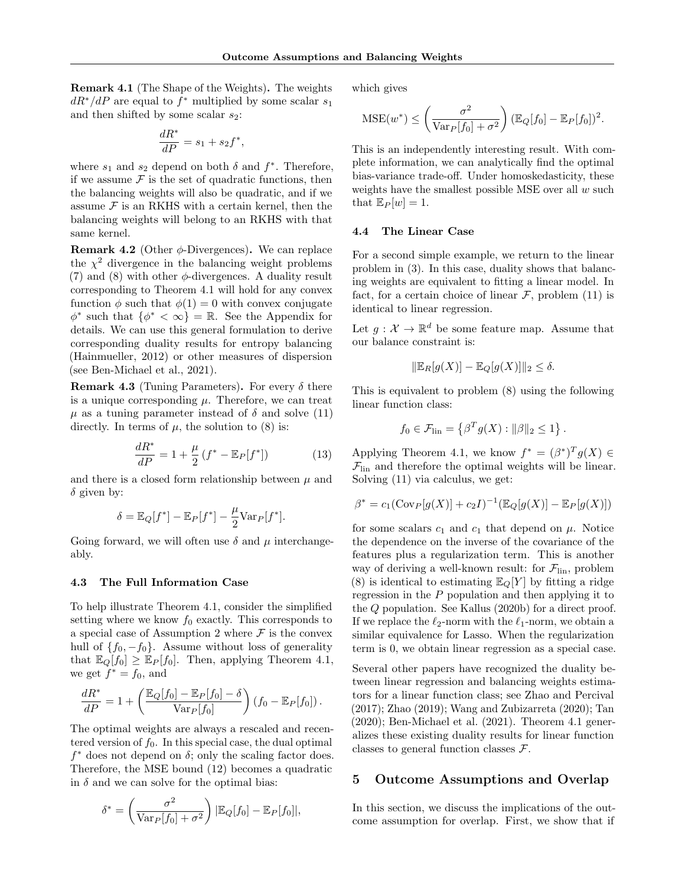Remark 4.1 (The Shape of the Weights). The weights  $dR^*/dP$  are equal to  $f^*$  multiplied by some scalar  $s_1$ and then shifted by some scalar  $s_2$ :

$$
\frac{dR^*}{dP} = s_1 + s_2 f^*,
$$

where  $s_1$  and  $s_2$  depend on both  $\delta$  and  $f^*$ . Therefore, if we assume  $\mathcal F$  is the set of quadratic functions, then the balancing weights will also be quadratic, and if we assume  $\mathcal F$  is an RKHS with a certain kernel, then the balancing weights will belong to an RKHS with that same kernel.

**Remark 4.2** (Other  $\phi$ -Divergences). We can replace the  $\chi^2$  divergence in the balancing weight problems (7) and (8) with other  $\phi$ -divergences. A duality result corresponding to Theorem 4.1 will hold for any convex function  $\phi$  such that  $\phi(1) = 0$  with convex conjugate  $\phi^*$  such that  $\{\phi^* < \infty\} = \mathbb{R}$ . See the Appendix for details. We can use this general formulation to derive corresponding duality results for entropy balancing (Hainmueller, 2012) or other measures of dispersion (see Ben-Michael et al., 2021).

**Remark 4.3** (Tuning Parameters). For every  $\delta$  there is a unique corresponding  $\mu$ . Therefore, we can treat  $\mu$  as a tuning parameter instead of  $\delta$  and solve (11) directly. In terms of  $\mu$ , the solution to (8) is:

$$
\frac{dR^*}{dP} = 1 + \frac{\mu}{2} \left( f^* - \mathbb{E}_P[f^*] \right) \tag{13}
$$

and there is a closed form relationship between  $\mu$  and  $\delta$  given by:

$$
\delta = \mathbb{E}_Q[f^*] - \mathbb{E}_P[f^*] - \frac{\mu}{2} \text{Var}_P[f^*].
$$

Going forward, we will often use  $\delta$  and  $\mu$  interchangeably.

#### 4.3 The Full Information Case

To help illustrate Theorem 4.1, consider the simplified setting where we know  $f_0$  exactly. This corresponds to a special case of Assumption 2 where  $\mathcal F$  is the convex hull of  ${f_0, -f_0}$ . Assume without loss of generality that  $\mathbb{E}_Q[f_0] \geq \mathbb{E}_P[f_0]$ . Then, applying Theorem 4.1, we get  $f^* = f_0$ , and

$$
\frac{dR^*}{dP} = 1 + \left(\frac{\mathbb{E}_Q[f_0] - \mathbb{E}_P[f_0] - \delta}{\text{Var}_P[f_0]}\right) (f_0 - \mathbb{E}_P[f_0]).
$$

The optimal weights are always a rescaled and recentered version of  $f_0$ . In this special case, the dual optimal  $f^*$  does not depend on  $\delta$ ; only the scaling factor does. Therefore, the MSE bound (12) becomes a quadratic in  $\delta$  and we can solve for the optimal bias:

$$
\delta^* = \left(\frac{\sigma^2}{\text{Var}_P[f_0] + \sigma^2}\right) |\mathbb{E}_Q[f_0] - \mathbb{E}_P[f_0]|,
$$

which gives

$$
\text{MSE}(w^*) \le \left(\frac{\sigma^2}{\text{Var}_P[f_0] + \sigma^2}\right) (\mathbb{E}_Q[f_0] - \mathbb{E}_P[f_0])^2.
$$

This is an independently interesting result. With complete information, we can analytically find the optimal bias-variance trade-off. Under homoskedasticity, these weights have the smallest possible MSE over all  $w$  such that  $\mathbb{E}_P[w] = 1$ .

#### 4.4 The Linear Case

For a second simple example, we return to the linear problem in (3). In this case, duality shows that balancing weights are equivalent to fitting a linear model. In fact, for a certain choice of linear  $\mathcal{F}$ , problem (11) is identical to linear regression.

Let  $g: \mathcal{X} \to \mathbb{R}^d$  be some feature map. Assume that our balance constraint is:

$$
\|\mathbb{E}_R[g(X)] - \mathbb{E}_Q[g(X)]\|_2 \le \delta.
$$

This is equivalent to problem (8) using the following linear function class:

$$
f_0 \in \mathcal{F}_{\text{lin}} = \left\{ \beta^T g(X) : ||\beta||_2 \le 1 \right\}.
$$

Applying Theorem 4.1, we know  $f^* = (\beta^*)^T g(X) \in$  $\mathcal{F}_{lin}$  and therefore the optimal weights will be linear. Solving (11) via calculus, we get:

$$
\beta^* = c_1(\text{Cov}_P[g(X)] + c_2 I)^{-1}(\mathbb{E}_Q[g(X)] - \mathbb{E}_P[g(X)])
$$

for some scalars  $c_1$  and  $c_1$  that depend on  $\mu$ . Notice the dependence on the inverse of the covariance of the features plus a regularization term. This is another way of deriving a well-known result: for  $\mathcal{F}_{lin}$ , problem (8) is identical to estimating  $\mathbb{E}_{Q}[Y]$  by fitting a ridge regression in the  $P$  population and then applying it to the Q population. See Kallus (2020b) for a direct proof. If we replace the  $\ell_2$ -norm with the  $\ell_1$ -norm, we obtain a similar equivalence for Lasso. When the regularization term is 0, we obtain linear regression as a special case.

Several other papers have recognized the duality between linear regression and balancing weights estimators for a linear function class; see Zhao and Percival (2017); Zhao (2019); Wang and Zubizarreta (2020); Tan (2020); Ben-Michael et al. (2021). Theorem 4.1 generalizes these existing duality results for linear function classes to general function classes  $\mathcal{F}$ .

### 5 Outcome Assumptions and Overlap

In this section, we discuss the implications of the outcome assumption for overlap. First, we show that if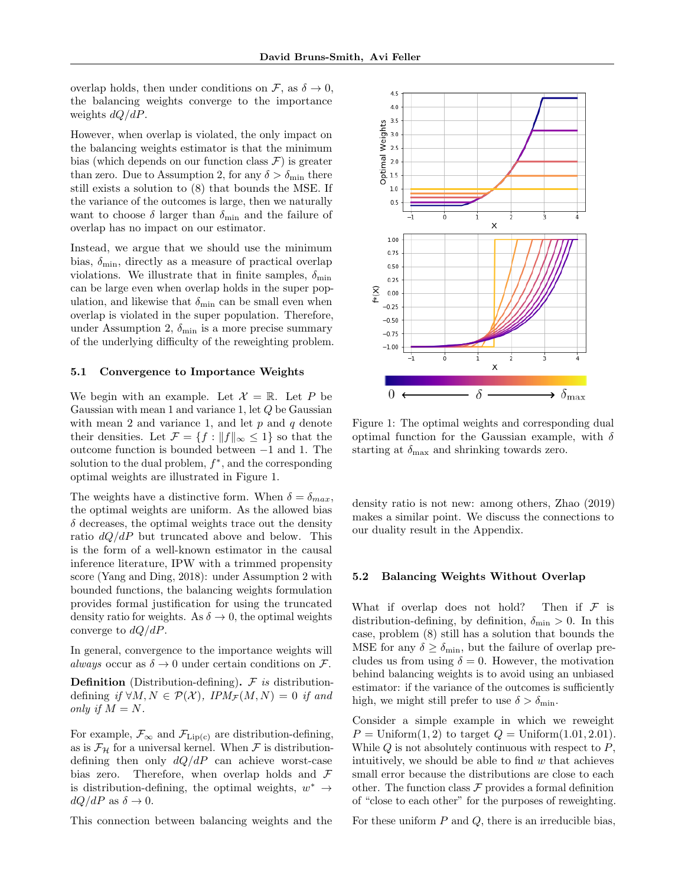overlap holds, then under conditions on  $\mathcal{F}$ , as  $\delta \to 0$ , the balancing weights converge to the importance weights  $dQ/dP$ .

However, when overlap is violated, the only impact on the balancing weights estimator is that the minimum bias (which depends on our function class  $\mathcal{F}$ ) is greater than zero. Due to Assumption 2, for any  $\delta > \delta_{\min}$  there still exists a solution to (8) that bounds the MSE. If the variance of the outcomes is large, then we naturally want to choose  $\delta$  larger than  $\delta_{\min}$  and the failure of overlap has no impact on our estimator.

Instead, we argue that we should use the minimum bias,  $\delta_{\min}$ , directly as a measure of practical overlap violations. We illustrate that in finite samples,  $\delta_{\min}$ can be large even when overlap holds in the super population, and likewise that  $\delta_{\min}$  can be small even when overlap is violated in the super population. Therefore, under Assumption 2,  $\delta_{\min}$  is a more precise summary of the underlying difficulty of the reweighting problem.

#### 5.1 Convergence to Importance Weights

We begin with an example. Let  $\mathcal{X} = \mathbb{R}$ . Let P be Gaussian with mean 1 and variance 1, let Q be Gaussian with mean 2 and variance 1, and let  $p$  and  $q$  denote their densities. Let  $\mathcal{F} = \{f : ||f||_{\infty} \leq 1\}$  so that the outcome function is bounded between −1 and 1. The solution to the dual problem,  $f^*$ , and the corresponding optimal weights are illustrated in Figure 1.

The weights have a distinctive form. When  $\delta = \delta_{max}$ , the optimal weights are uniform. As the allowed bias  $\delta$  decreases, the optimal weights trace out the density ratio  $dQ/dP$  but truncated above and below. This is the form of a well-known estimator in the causal inference literature, IPW with a trimmed propensity score (Yang and Ding, 2018): under Assumption 2 with bounded functions, the balancing weights formulation provides formal justification for using the truncated density ratio for weights. As  $\delta \to 0$ , the optimal weights converge to  $dQ/dP$ .

In general, convergence to the importance weights will always occur as  $\delta \to 0$  under certain conditions on F.

**Definition** (Distribution-defining).  $F$  is distributiondefining if  $\forall M, N \in \mathcal{P}(\mathcal{X}), \text{IPM}_{\mathcal{F}}(M, N) = 0 \text{ if and}$ only if  $M = N$ .

For example,  $\mathcal{F}_{\infty}$  and  $\mathcal{F}_{\text{Lip}(c)}$  are distribution-defining, as is  $\mathcal{F}_{\mathcal{H}}$  for a universal kernel. When  $\mathcal F$  is distributiondefining then only  $dQ/dP$  can achieve worst-case bias zero. Therefore, when overlap holds and  $\mathcal F$ is distribution-defining, the optimal weights,  $w^* \rightarrow$  $dQ/dP$  as  $\delta \rightarrow 0$ .

This connection between balancing weights and the



Figure 1: The optimal weights and corresponding dual optimal function for the Gaussian example, with  $\delta$ starting at  $\delta_{\text{max}}$  and shrinking towards zero.

density ratio is not new: among others, Zhao (2019) makes a similar point. We discuss the connections to our duality result in the Appendix.

#### 5.2 Balancing Weights Without Overlap

What if overlap does not hold? Then if  $\mathcal F$  is distribution-defining, by definition,  $\delta_{\min} > 0$ . In this case, problem (8) still has a solution that bounds the MSE for any  $\delta \geq \delta_{\min}$ , but the failure of overlap precludes us from using  $\delta = 0$ . However, the motivation behind balancing weights is to avoid using an unbiased estimator: if the variance of the outcomes is sufficiently high, we might still prefer to use  $\delta > \delta_{\min}$ .

Consider a simple example in which we reweight  $P =$  Uniform $(1, 2)$  to target  $Q =$  Uniform $(1.01, 2.01)$ . While  $Q$  is not absolutely continuous with respect to  $P$ , intuitively, we should be able to find  $w$  that achieves small error because the distributions are close to each other. The function class  $\mathcal F$  provides a formal definition of "close to each other" for the purposes of reweighting.

For these uniform  $P$  and  $Q$ , there is an irreducible bias,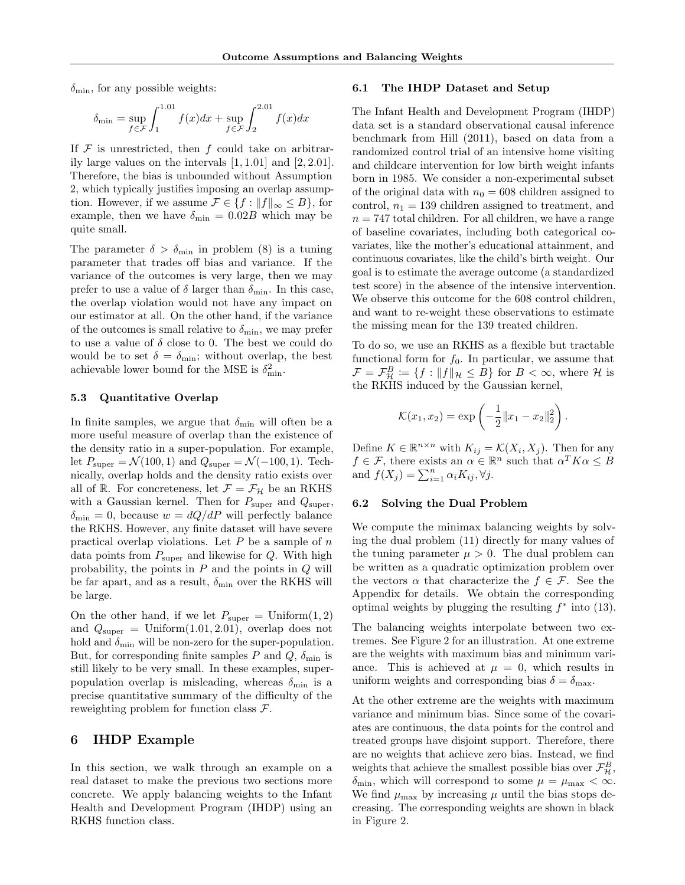$\delta_{\min}$ , for any possible weights:

$$
\delta_{\min} = \sup_{f \in \mathcal{F}} \int_{1}^{1.01} f(x) dx + \sup_{f \in \mathcal{F}} \int_{2}^{2.01} f(x) dx
$$

If  $\mathcal F$  is unrestricted, then f could take on arbitrarily large values on the intervals [1, 1.01] and [2, 2.01]. Therefore, the bias is unbounded without Assumption 2, which typically justifies imposing an overlap assumption. However, if we assume  $\mathcal{F} \in \{f : ||f||_{\infty} \leq B\}$ , for example, then we have  $\delta_{\min} = 0.02B$  which may be quite small.

The parameter  $\delta > \delta_{\min}$  in problem (8) is a tuning parameter that trades off bias and variance. If the variance of the outcomes is very large, then we may prefer to use a value of  $\delta$  larger than  $\delta_{\min}$ . In this case, the overlap violation would not have any impact on our estimator at all. On the other hand, if the variance of the outcomes is small relative to  $\delta_{\min}$ , we may prefer to use a value of  $\delta$  close to 0. The best we could do would be to set  $\delta = \delta_{\min}$ ; without overlap, the best achievable lower bound for the MSE is  $\delta_{\min}^2$ .

#### 5.3 Quantitative Overlap

In finite samples, we argue that  $\delta_{\min}$  will often be a more useful measure of overlap than the existence of the density ratio in a super-population. For example, let  $P_{\text{super}} = \mathcal{N}(100, 1)$  and  $Q_{\text{super}} = \mathcal{N}(-100, 1)$ . Technically, overlap holds and the density ratio exists over all of R. For concreteness, let  $\mathcal{F} = \mathcal{F}_{\mathcal{H}}$  be an RKHS with a Gaussian kernel. Then for  $P_{\text{super}}$  and  $Q_{\text{super}}$ ,  $\delta_{\min} = 0$ , because  $w = dQ/dP$  will perfectly balance the RKHS. However, any finite dataset will have severe practical overlap violations. Let  $P$  be a sample of  $n$ data points from  $P_{\text{super}}$  and likewise for  $Q$ . With high probability, the points in  $P$  and the points in  $Q$  will be far apart, and as a result,  $\delta_{\min}$  over the RKHS will be large.

On the other hand, if we let  $P_{\text{super}} = \text{Uniform}(1, 2)$ and  $Q_{\text{super}} = \text{Uniform}(1.01, 2.01)$ , overlap does not hold and  $\delta_{\min}$  will be non-zero for the super-population. But, for corresponding finite samples P and  $Q$ ,  $\delta_{\min}$  is still likely to be very small. In these examples, superpopulation overlap is misleading, whereas  $\delta_{\min}$  is a precise quantitative summary of the difficulty of the reweighting problem for function class  $\mathcal{F}$ .

## 6 IHDP Example

In this section, we walk through an example on a real dataset to make the previous two sections more concrete. We apply balancing weights to the Infant Health and Development Program (IHDP) using an RKHS function class.

#### 6.1 The IHDP Dataset and Setup

The Infant Health and Development Program (IHDP) data set is a standard observational causal inference benchmark from Hill (2011), based on data from a randomized control trial of an intensive home visiting and childcare intervention for low birth weight infants born in 1985. We consider a non-experimental subset of the original data with  $n_0 = 608$  children assigned to control,  $n_1 = 139$  children assigned to treatment, and  $n = 747$  total children. For all children, we have a range of baseline covariates, including both categorical covariates, like the mother's educational attainment, and continuous covariates, like the child's birth weight. Our goal is to estimate the average outcome (a standardized test score) in the absence of the intensive intervention. We observe this outcome for the 608 control children, and want to re-weight these observations to estimate the missing mean for the 139 treated children.

To do so, we use an RKHS as a flexible but tractable functional form for  $f_0$ . In particular, we assume that  $\mathcal{F} = \mathcal{F}_{\mathcal{H}}^B \coloneqq \{f : ||f||_{\mathcal{H}} \leq B\}$  for  $B < \infty$ , where  $\mathcal{H}$  is the RKHS induced by the Gaussian kernel,

$$
\mathcal{K}(x_1, x_2) = \exp\left(-\frac{1}{2}||x_1 - x_2||_2^2\right).
$$

Define  $K \in \mathbb{R}^{n \times n}$  with  $K_{ij} = \mathcal{K}(X_i, X_j)$ . Then for any  $f \in \mathcal{F}$ , there exists an  $\alpha \in \mathbb{R}^n$  such that  $\alpha^T K \alpha \leq B$ and  $f(X_j) = \sum_{i=1}^n \alpha_i K_{ij}, \forall j.$ 

#### 6.2 Solving the Dual Problem

We compute the minimax balancing weights by solving the dual problem (11) directly for many values of the tuning parameter  $\mu > 0$ . The dual problem can be written as a quadratic optimization problem over the vectors  $\alpha$  that characterize the  $f \in \mathcal{F}$ . See the Appendix for details. We obtain the corresponding optimal weights by plugging the resulting  $f^*$  into (13).

The balancing weights interpolate between two extremes. See Figure 2 for an illustration. At one extreme are the weights with maximum bias and minimum variance. This is achieved at  $\mu = 0$ , which results in uniform weights and corresponding bias  $\delta = \delta_{\text{max}}$ .

At the other extreme are the weights with maximum variance and minimum bias. Since some of the covariates are continuous, the data points for the control and treated groups have disjoint support. Therefore, there are no weights that achieve zero bias. Instead, we find weights that achieve the smallest possible bias over  $\mathcal{F}_{\mathcal{H}}^B$ ,  $\delta_{\min}$ , which will correspond to some  $\mu = \mu_{\max} < \infty$ . We find  $\mu_{\text{max}}$  by increasing  $\mu$  until the bias stops decreasing. The corresponding weights are shown in black in Figure 2.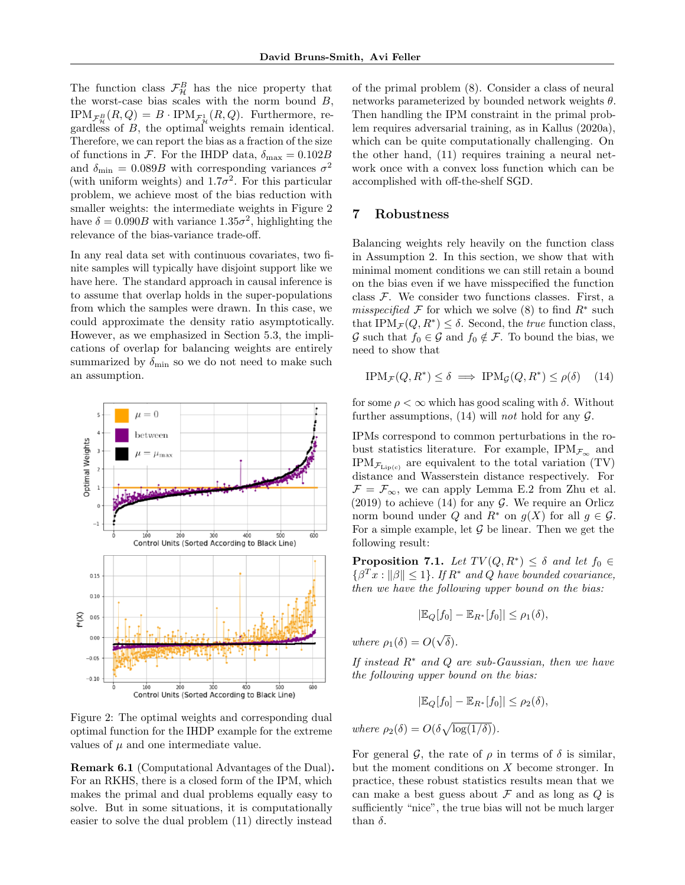The function class  $\mathcal{F}_{\mathcal{H}}^B$  has the nice property that the worst-case bias scales with the norm bound  $B$ ,  $IPM_{\mathcal{F}_{\mathcal{H}}^B}(R,Q) = B \cdot IPM_{\mathcal{F}_{\mathcal{H}}^1}(R,Q)$ . Furthermore, regardless of B, the optimal weights remain identical. Therefore, we can report the bias as a fraction of the size of functions in F. For the IHDP data,  $\delta_{\text{max}} = 0.102B$ and  $\delta_{\text{min}} = 0.089B$  with corresponding variances  $\sigma^2$ (with uniform weights) and  $1.7\sigma^2$ . For this particular problem, we achieve most of the bias reduction with smaller weights: the intermediate weights in Figure 2 have  $\delta = 0.090B$  with variance  $1.35\sigma^2$ , highlighting the relevance of the bias-variance trade-off.

In any real data set with continuous covariates, two finite samples will typically have disjoint support like we have here. The standard approach in causal inference is to assume that overlap holds in the super-populations from which the samples were drawn. In this case, we could approximate the density ratio asymptotically. However, as we emphasized in Section 5.3, the implications of overlap for balancing weights are entirely summarized by  $\delta_{\min}$  so we do not need to make such an assumption.



Figure 2: The optimal weights and corresponding dual optimal function for the IHDP example for the extreme values of  $\mu$  and one intermediate value.

Remark 6.1 (Computational Advantages of the Dual). For an RKHS, there is a closed form of the IPM, which makes the primal and dual problems equally easy to solve. But in some situations, it is computationally easier to solve the dual problem (11) directly instead

of the primal problem (8). Consider a class of neural networks parameterized by bounded network weights  $\theta$ . Then handling the IPM constraint in the primal problem requires adversarial training, as in Kallus (2020a), which can be quite computationally challenging. On the other hand, (11) requires training a neural network once with a convex loss function which can be accomplished with off-the-shelf SGD.

# 7 Robustness

Balancing weights rely heavily on the function class in Assumption 2. In this section, we show that with minimal moment conditions we can still retain a bound on the bias even if we have misspecified the function class  $F$ . We consider two functions classes. First, a misspecified  $\mathcal F$  for which we solve (8) to find  $R^*$  such that IPM $_{\mathcal{F}}(Q, R^*) \leq \delta$ . Second, the *true* function class, G such that  $f_0 \in \mathcal{G}$  and  $f_0 \notin \mathcal{F}$ . To bound the bias, we need to show that

$$
\text{IPM}_{\mathcal{F}}(Q, R^*) \le \delta \implies \text{IPM}_{\mathcal{G}}(Q, R^*) \le \rho(\delta) \quad (14)
$$

for some  $\rho < \infty$  which has good scaling with  $\delta$ . Without further assumptions, (14) will *not* hold for any  $\mathcal{G}$ .

IPMs correspond to common perturbations in the robust statistics literature. For example,  $IPM_{\mathcal{F}_{\infty}}$  and  $IPM_{\mathcal{F}_{\text{Lip(c)}}}$  are equivalent to the total variation (TV) distance and Wasserstein distance respectively. For  $\mathcal{F} = \mathcal{F}_{\infty}$ , we can apply Lemma E.2 from Zhu et al.  $(2019)$  to achieve  $(14)$  for any  $\mathcal G$ . We require an Orlicz norm bound under Q and  $R^*$  on  $g(X)$  for all  $g \in \mathcal{G}$ . For a simple example, let  $G$  be linear. Then we get the following result:

**Proposition 7.1.** Let  $TV(Q, R^*) \leq \delta$  and let  $f_0 \in$  $\{\beta^T x : ||\beta|| \leq 1\}$ . If  $R^*$  and Q have bounded covariance, then we have the following upper bound on the bias:

$$
|\mathbb{E}_Q[f_0] - \mathbb{E}_{R^*}[f_0]| \le \rho_1(\delta),
$$

where  $\rho_1(\delta) = O(\delta)$ √  $\delta$ ).

If instead  $R^*$  and  $Q$  are sub-Gaussian, then we have the following upper bound on the bias:

$$
|\mathbb{E}_Q[f_0] - \mathbb{E}_{R^*}[f_0]| \le \rho_2(\delta),
$$

where  $\rho_2(\delta) = O(\delta \sqrt{\log(1/\delta)})$ .

For general  $\mathcal{G}$ , the rate of  $\rho$  in terms of  $\delta$  is similar, but the moment conditions on X become stronger. In practice, these robust statistics results mean that we can make a best guess about  $\mathcal F$  and as long as  $Q$  is sufficiently "nice", the true bias will not be much larger than  $\delta$ .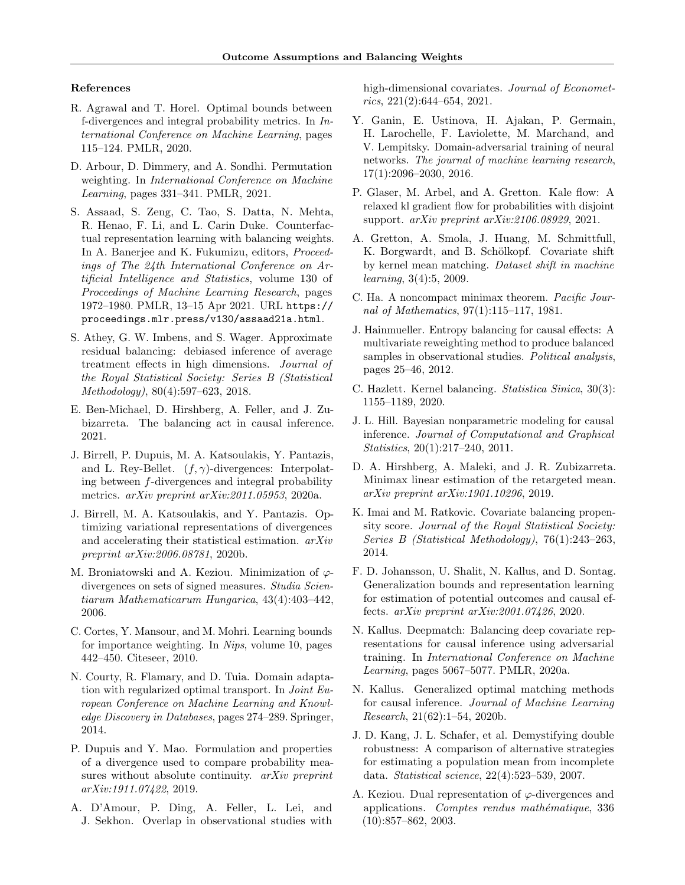#### References

- R. Agrawal and T. Horel. Optimal bounds between f-divergences and integral probability metrics. In International Conference on Machine Learning, pages 115–124. PMLR, 2020.
- D. Arbour, D. Dimmery, and A. Sondhi. Permutation weighting. In International Conference on Machine Learning, pages 331–341. PMLR, 2021.
- S. Assaad, S. Zeng, C. Tao, S. Datta, N. Mehta, R. Henao, F. Li, and L. Carin Duke. Counterfactual representation learning with balancing weights. In A. Banerjee and K. Fukumizu, editors, Proceedings of The 24th International Conference on Artificial Intelligence and Statistics, volume 130 of Proceedings of Machine Learning Research, pages 1972–1980. PMLR, 13–15 Apr 2021. URL https:// proceedings.mlr.press/v130/assaad21a.html.
- S. Athey, G. W. Imbens, and S. Wager. Approximate residual balancing: debiased inference of average treatment effects in high dimensions. Journal of the Royal Statistical Society: Series B (Statistical Methodology), 80(4):597–623, 2018.
- E. Ben-Michael, D. Hirshberg, A. Feller, and J. Zubizarreta. The balancing act in causal inference. 2021.
- J. Birrell, P. Dupuis, M. A. Katsoulakis, Y. Pantazis, and L. Rey-Bellet.  $(f, \gamma)$ -divergences: Interpolating between f-divergences and integral probability metrics. arXiv preprint arXiv:2011.05953, 2020a.
- J. Birrell, M. A. Katsoulakis, and Y. Pantazis. Optimizing variational representations of divergences and accelerating their statistical estimation. arXiv preprint arXiv:2006.08781, 2020b.
- M. Broniatowski and A. Keziou. Minimization of  $\varphi$ divergences on sets of signed measures. Studia Scientiarum Mathematicarum Hungarica, 43(4):403–442, 2006.
- C. Cortes, Y. Mansour, and M. Mohri. Learning bounds for importance weighting. In Nips, volume 10, pages 442–450. Citeseer, 2010.
- N. Courty, R. Flamary, and D. Tuia. Domain adaptation with regularized optimal transport. In Joint European Conference on Machine Learning and Knowledge Discovery in Databases, pages 274–289. Springer, 2014.
- P. Dupuis and Y. Mao. Formulation and properties of a divergence used to compare probability measures without absolute continuity. *arXiv preprint* arXiv:1911.07422, 2019.
- A. D'Amour, P. Ding, A. Feller, L. Lei, and J. Sekhon. Overlap in observational studies with

high-dimensional covariates. *Journal of Economet*rics, 221(2):644–654, 2021.

- Y. Ganin, E. Ustinova, H. Ajakan, P. Germain, H. Larochelle, F. Laviolette, M. Marchand, and V. Lempitsky. Domain-adversarial training of neural networks. The journal of machine learning research, 17(1):2096–2030, 2016.
- P. Glaser, M. Arbel, and A. Gretton. Kale flow: A relaxed kl gradient flow for probabilities with disjoint support. arXiv preprint arXiv:2106.08929, 2021.
- A. Gretton, A. Smola, J. Huang, M. Schmittfull, K. Borgwardt, and B. Schölkopf. Covariate shift by kernel mean matching. Dataset shift in machine learning, 3(4):5, 2009.
- C. Ha. A noncompact minimax theorem. Pacific Journal of Mathematics, 97(1):115–117, 1981.
- J. Hainmueller. Entropy balancing for causal effects: A multivariate reweighting method to produce balanced samples in observational studies. Political analysis, pages 25–46, 2012.
- C. Hazlett. Kernel balancing. Statistica Sinica, 30(3): 1155–1189, 2020.
- J. L. Hill. Bayesian nonparametric modeling for causal inference. Journal of Computational and Graphical Statistics, 20(1):217–240, 2011.
- D. A. Hirshberg, A. Maleki, and J. R. Zubizarreta. Minimax linear estimation of the retargeted mean. arXiv preprint arXiv:1901.10296, 2019.
- K. Imai and M. Ratkovic. Covariate balancing propensity score. Journal of the Royal Statistical Society: Series B (Statistical Methodology), 76(1):243–263, 2014.
- F. D. Johansson, U. Shalit, N. Kallus, and D. Sontag. Generalization bounds and representation learning for estimation of potential outcomes and causal effects. arXiv preprint arXiv:2001.07426, 2020.
- N. Kallus. Deepmatch: Balancing deep covariate representations for causal inference using adversarial training. In International Conference on Machine Learning, pages 5067–5077. PMLR, 2020a.
- N. Kallus. Generalized optimal matching methods for causal inference. Journal of Machine Learning Research, 21(62):1–54, 2020b.
- J. D. Kang, J. L. Schafer, et al. Demystifying double robustness: A comparison of alternative strategies for estimating a population mean from incomplete data. Statistical science, 22(4):523–539, 2007.
- A. Keziou. Dual representation of  $\varphi$ -divergences and applications. Comptes rendus mathématique, 336  $(10):857-862, 2003.$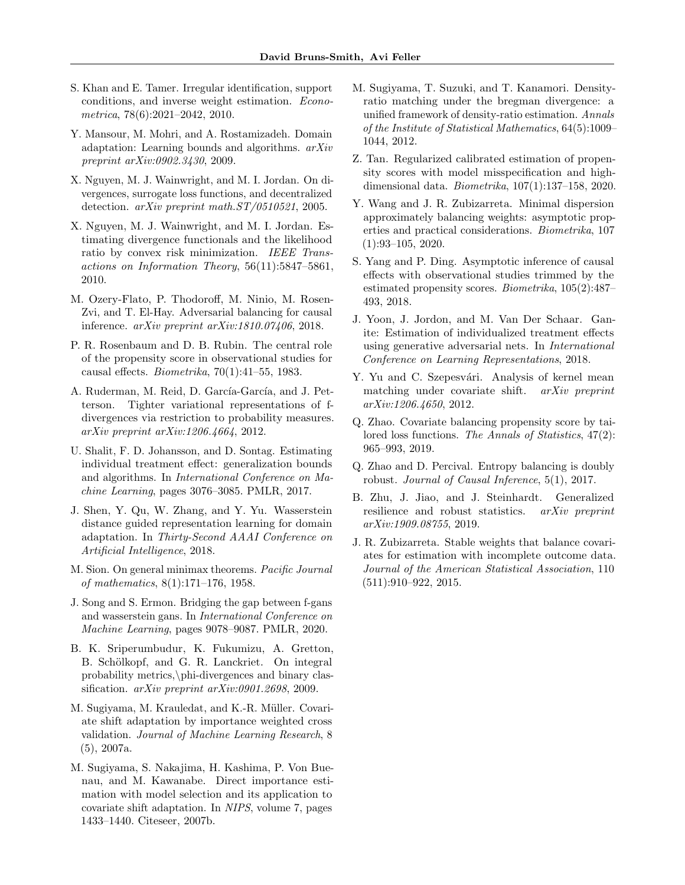- S. Khan and E. Tamer. Irregular identification, support conditions, and inverse weight estimation. Econometrica, 78(6):2021–2042, 2010.
- Y. Mansour, M. Mohri, and A. Rostamizadeh. Domain adaptation: Learning bounds and algorithms. arXiv preprint arXiv:0902.3430, 2009.
- X. Nguyen, M. J. Wainwright, and M. I. Jordan. On divergences, surrogate loss functions, and decentralized detection. arXiv preprint math.ST/0510521, 2005.
- X. Nguyen, M. J. Wainwright, and M. I. Jordan. Estimating divergence functionals and the likelihood ratio by convex risk minimization. IEEE Transactions on Information Theory, 56(11):5847–5861, 2010.
- M. Ozery-Flato, P. Thodoroff, M. Ninio, M. Rosen-Zvi, and T. El-Hay. Adversarial balancing for causal inference. arXiv preprint arXiv:1810.07406, 2018.
- P. R. Rosenbaum and D. B. Rubin. The central role of the propensity score in observational studies for causal effects. Biometrika, 70(1):41–55, 1983.
- A. Ruderman, M. Reid, D. García-García, and J. Petterson. Tighter variational representations of fdivergences via restriction to probability measures. arXiv preprint arXiv:1206.4664, 2012.
- U. Shalit, F. D. Johansson, and D. Sontag. Estimating individual treatment effect: generalization bounds and algorithms. In International Conference on Machine Learning, pages 3076–3085. PMLR, 2017.
- J. Shen, Y. Qu, W. Zhang, and Y. Yu. Wasserstein distance guided representation learning for domain adaptation. In Thirty-Second AAAI Conference on Artificial Intelligence, 2018.
- M. Sion. On general minimax theorems. Pacific Journal of mathematics, 8(1):171–176, 1958.
- J. Song and S. Ermon. Bridging the gap between f-gans and wasserstein gans. In International Conference on Machine Learning, pages 9078–9087. PMLR, 2020.
- B. K. Sriperumbudur, K. Fukumizu, A. Gretton, B. Schölkopf, and G. R. Lanckriet. On integral probability metrics,\phi-divergences and binary classification. arXiv preprint arXiv:0901.2698, 2009.
- M. Sugiyama, M. Krauledat, and K.-R. Müller. Covariate shift adaptation by importance weighted cross validation. Journal of Machine Learning Research, 8 (5), 2007a.
- M. Sugiyama, S. Nakajima, H. Kashima, P. Von Buenau, and M. Kawanabe. Direct importance estimation with model selection and its application to covariate shift adaptation. In NIPS, volume 7, pages 1433–1440. Citeseer, 2007b.
- M. Sugiyama, T. Suzuki, and T. Kanamori. Densityratio matching under the bregman divergence: a unified framework of density-ratio estimation. Annals of the Institute of Statistical Mathematics, 64(5):1009– 1044, 2012.
- Z. Tan. Regularized calibrated estimation of propensity scores with model misspecification and highdimensional data. Biometrika, 107(1):137–158, 2020.
- Y. Wang and J. R. Zubizarreta. Minimal dispersion approximately balancing weights: asymptotic properties and practical considerations. Biometrika, 107 (1):93–105, 2020.
- S. Yang and P. Ding. Asymptotic inference of causal effects with observational studies trimmed by the estimated propensity scores. Biometrika, 105(2):487– 493, 2018.
- J. Yoon, J. Jordon, and M. Van Der Schaar. Ganite: Estimation of individualized treatment effects using generative adversarial nets. In International Conference on Learning Representations, 2018.
- Y. Yu and C. Szepesvári. Analysis of kernel mean matching under covariate shift. arXiv preprint arXiv:1206.4650, 2012.
- Q. Zhao. Covariate balancing propensity score by tailored loss functions. The Annals of Statistics, 47(2): 965–993, 2019.
- Q. Zhao and D. Percival. Entropy balancing is doubly robust. Journal of Causal Inference, 5(1), 2017.
- B. Zhu, J. Jiao, and J. Steinhardt. Generalized resilience and robust statistics. arXiv preprint arXiv:1909.08755, 2019.
- J. R. Zubizarreta. Stable weights that balance covariates for estimation with incomplete outcome data. Journal of the American Statistical Association, 110 (511):910–922, 2015.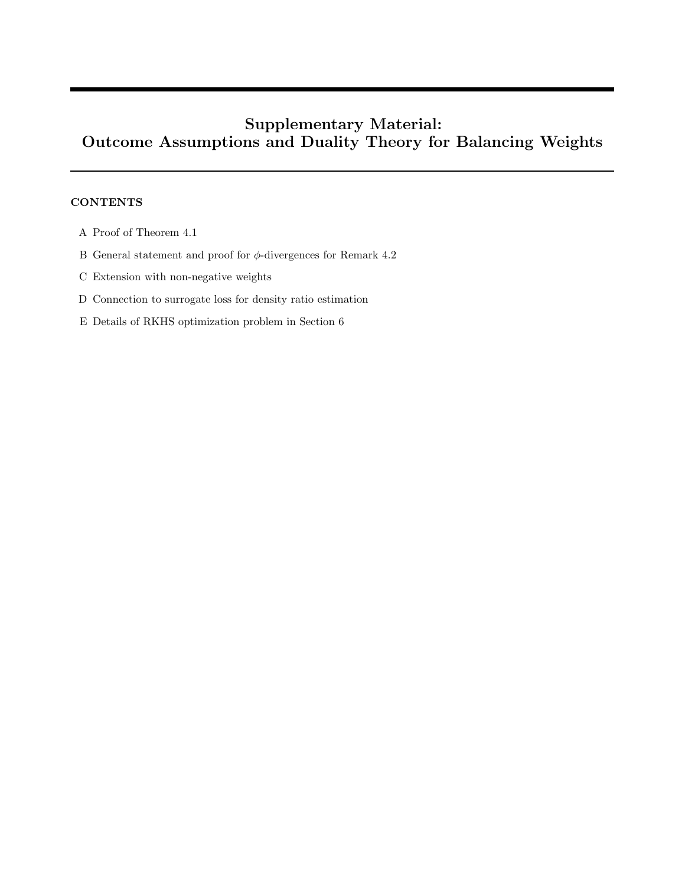# Supplementary Material: Outcome Assumptions and Duality Theory for Balancing Weights

## **CONTENTS**

- A Proof of Theorem 4.1
- B General statement and proof for  $\phi$ -divergences for Remark 4.2
- C Extension with non-negative weights
- D Connection to surrogate loss for density ratio estimation
- E Details of RKHS optimization problem in Section 6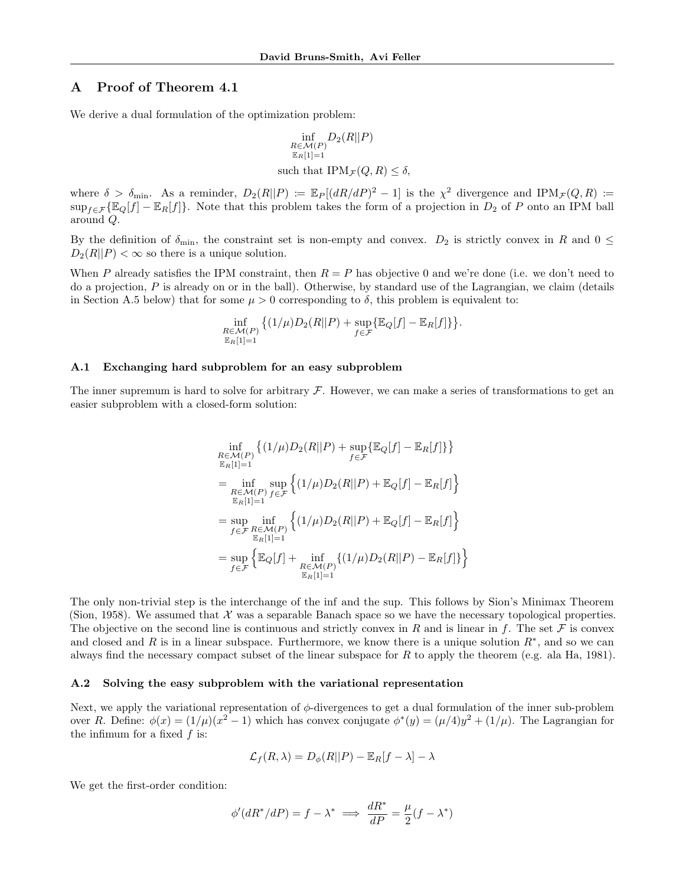## A Proof of Theorem 4.1

We derive a dual formulation of the optimization problem:

$$
\inf_{\substack{R \in \mathcal{M}(P) \\ \mathbb{E}_R[1]=1}} D_2(R||P)
$$
  
such that  $IPM_{\mathcal{F}}(Q, R) \le \delta$ ,

where  $\delta > \delta_{\min}$ . As a reminder,  $D_2(R||P) \coloneqq \mathbb{E}_P[(dR/dP)^2 - 1]$  is the  $\chi^2$  divergence and  $IPM_{\mathcal{F}}(Q, R) \coloneqq$  $\sup_{f \in \mathcal{F}} \{ \mathbb{E}_Q[f] - \mathbb{E}_R[f] \}.$  Note that this problem takes the form of a projection in  $D_2$  of P onto an IPM ball around Q.

By the definition of  $\delta_{\min}$ , the constraint set is non-empty and convex.  $D_2$  is strictly convex in R and  $0 \leq$  $D_2(R||P) < \infty$  so there is a unique solution.

When P already satisfies the IPM constraint, then  $R = P$  has objective 0 and we're done (i.e. we don't need to do a projection,  $P$  is already on or in the ball). Otherwise, by standard use of the Lagrangian, we claim (details in Section A.5 below) that for some  $\mu > 0$  corresponding to  $\delta$ , this problem is equivalent to:

$$
\inf_{\substack{R\in\mathcal{M}(P)\\ \mathbb{E}_R[1]=1}} \left\{ (1/\mu)D_2(R||P) + \sup_{f\in\mathcal{F}} \left\{ \mathbb{E}_Q[f] - \mathbb{E}_R[f] \right\} \right\}.
$$

#### A.1 Exchanging hard subproblem for an easy subproblem

The inner supremum is hard to solve for arbitrary  $\mathcal F$ . However, we can make a series of transformations to get an easier subproblem with a closed-form solution:

$$
\inf_{\substack{R \in \mathcal{M}(P) \\ \mathbb{E}_R[1]=1}} \left\{ (1/\mu) D_2(R||P) + \sup_{f \in \mathcal{F}} \left\{ \mathbb{E}_Q[f] - \mathbb{E}_R[f] \right\} \right\}
$$
\n
$$
= \inf_{\substack{R \in \mathcal{M}(P) \\ \mathbb{E}_R[1]=1}} \sup_{f \in \mathcal{F}} \left\{ (1/\mu) D_2(R||P) + \mathbb{E}_Q[f] - \mathbb{E}_R[f] \right\}
$$
\n
$$
= \sup_{\substack{f \in \mathcal{F} \\ R \in \mathcal{M}(P)}} \inf_{\substack{\mathbb{E}_R[1]=1 \\ \mathbb{E}_R[1]=1}} \left\{ (1/\mu) D_2(R||P) + \mathbb{E}_Q[f] - \mathbb{E}_R[f] \right\}
$$
\n
$$
= \sup_{f \in \mathcal{F}} \left\{ \mathbb{E}_Q[f] + \inf_{\substack{R \in \mathcal{M}(P) \\ \mathbb{E}_R[1]=1}} \left\{ (1/\mu) D_2(R||P) - \mathbb{E}_R[f] \right\} \right\}
$$

The only non-trivial step is the interchange of the inf and the sup. This follows by Sion's Minimax Theorem (Sion, 1958). We assumed that  $\mathcal X$  was a separable Banach space so we have the necessary topological properties. The objective on the second line is continuous and strictly convex in R and is linear in f. The set F is convex and closed and R is in a linear subspace. Furthermore, we know there is a unique solution  $R^*$ , and so we can always find the necessary compact subset of the linear subspace for R to apply the theorem (e.g. ala Ha, 1981).

#### A.2 Solving the easy subproblem with the variational representation

Next, we apply the variational representation of  $\phi$ -divergences to get a dual formulation of the inner sub-problem over R. Define:  $\phi(x) = (1/\mu)(x^2 - 1)$  which has convex conjugate  $\phi^*(y) = (\mu/4)y^2 + (1/\mu)$ . The Lagrangian for the infimum for a fixed  $f$  is:

$$
\mathcal{L}_f(R,\lambda) = D_{\phi}(R||P) - \mathbb{E}_R[f-\lambda] - \lambda
$$

We get the first-order condition:

$$
\phi'(dR^*/dP)=f-\lambda^*\implies \frac{dR^*}{dP}=\frac{\mu}{2}(f-\lambda^*)
$$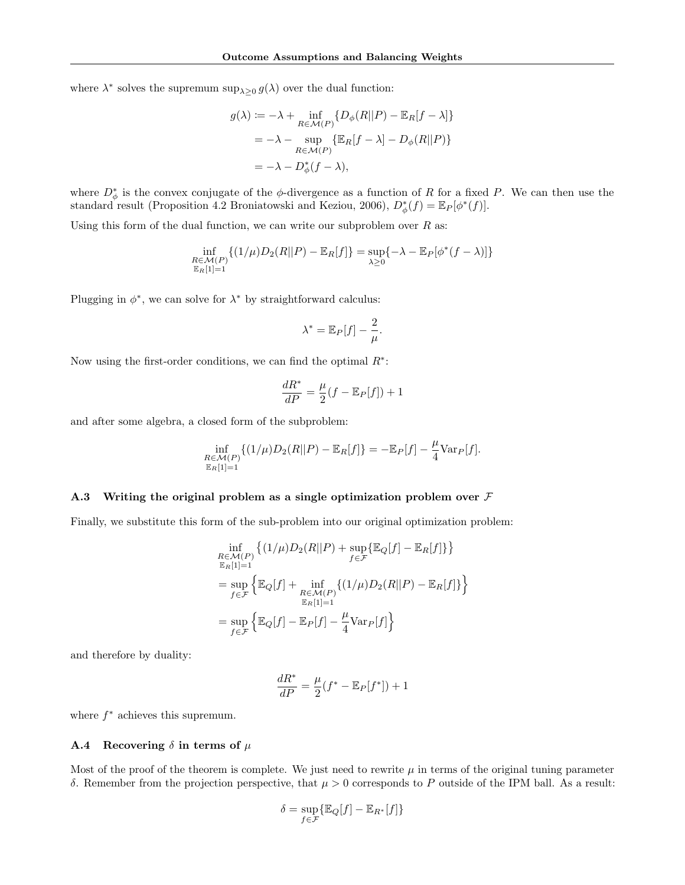where  $\lambda^*$  solves the supremum  $\sup_{\lambda \geq 0} g(\lambda)$  over the dual function:

$$
g(\lambda) := -\lambda + \inf_{R \in \mathcal{M}(P)} \{ D_{\phi}(R||P) - \mathbb{E}_R[f - \lambda] \}
$$
  
= -\lambda - \sup\_{R \in \mathcal{M}(P)} \{ \mathbb{E}\_R[f - \lambda] - D\_{\phi}(R||P) \}  
= -\lambda - D\_{\phi}^\*(f - \lambda),

where  $D^*_{\phi}$  is the convex conjugate of the  $\phi$ -divergence as a function of R for a fixed P. We can then use the standard result (Proposition 4.2 Broniatowski and Keziou, 2006),  $D_{\phi}^{*}(f) = \mathbb{E}_{P}[\phi^{*}(f)].$ 

Using this form of the dual function, we can write our subproblem over  $R$  as:

$$
\inf_{\substack{R \in \mathcal{M}(P) \\ \mathbb{E}_R[1]=1}} \{ (1/\mu)D_2(R||P) - \mathbb{E}_R[f] \} = \sup_{\lambda \ge 0} \{ -\lambda - \mathbb{E}_P[\phi^*(f-\lambda)] \}
$$

Plugging in  $\phi^*$ , we can solve for  $\lambda^*$  by straightforward calculus:

$$
\lambda^* = \mathbb{E}_P[f] - \frac{2}{\mu}.
$$

Now using the first-order conditions, we can find the optimal  $R^*$ :

$$
\frac{dR^*}{dP} = \frac{\mu}{2}(f - \mathbb{E}_P[f]) + 1
$$

and after some algebra, a closed form of the subproblem:

$$
\inf_{\substack{R \in \mathcal{M}(P) \\ \mathbb{E}_R[1]=1}} \{ (1/\mu) D_2(R||P) - \mathbb{E}_R[f] \} = -\mathbb{E}_P[f] - \frac{\mu}{4} \text{Var}_P[f].
$$

#### A.3 Writing the original problem as a single optimization problem over  $\mathcal F$

Finally, we substitute this form of the sub-problem into our original optimization problem:

$$
\inf_{\substack{R \in \mathcal{M}(P) \\ \mathbb{E}_R[1]=1}} \left\{ (1/\mu) D_2(R||P) + \sup_{f \in \mathcal{F}} \left\{ \mathbb{E}_Q[f] - \mathbb{E}_R[f] \right\} \right\}
$$
\n
$$
= \sup_{f \in \mathcal{F}} \left\{ \mathbb{E}_Q[f] + \inf_{\substack{R \in \mathcal{M}(P) \\ \mathbb{E}_R[1]=1}} \left\{ (1/\mu) D_2(R||P) - \mathbb{E}_R[f] \right\} \right\}
$$
\n
$$
= \sup_{f \in \mathcal{F}} \left\{ \mathbb{E}_Q[f] - \mathbb{E}_P[f] - \frac{\mu}{4} \text{Var}_P[f] \right\}
$$

and therefore by duality:

$$
\frac{dR^*}{dP} = \frac{\mu}{2}(f^* - \mathbb{E}_P[f^*]) + 1
$$

where  $f^*$  achieves this supremum.

#### **A.4** Recovering  $\delta$  in terms of  $\mu$

Most of the proof of the theorem is complete. We just need to rewrite  $\mu$  in terms of the original tuning parameter δ. Remember from the projection perspective, that  $\mu > 0$  corresponds to P outside of the IPM ball. As a result:

$$
\delta = \sup_{f \in \mathcal{F}} \{ \mathbb{E}_Q[f] - \mathbb{E}_{R^*}[f] \}
$$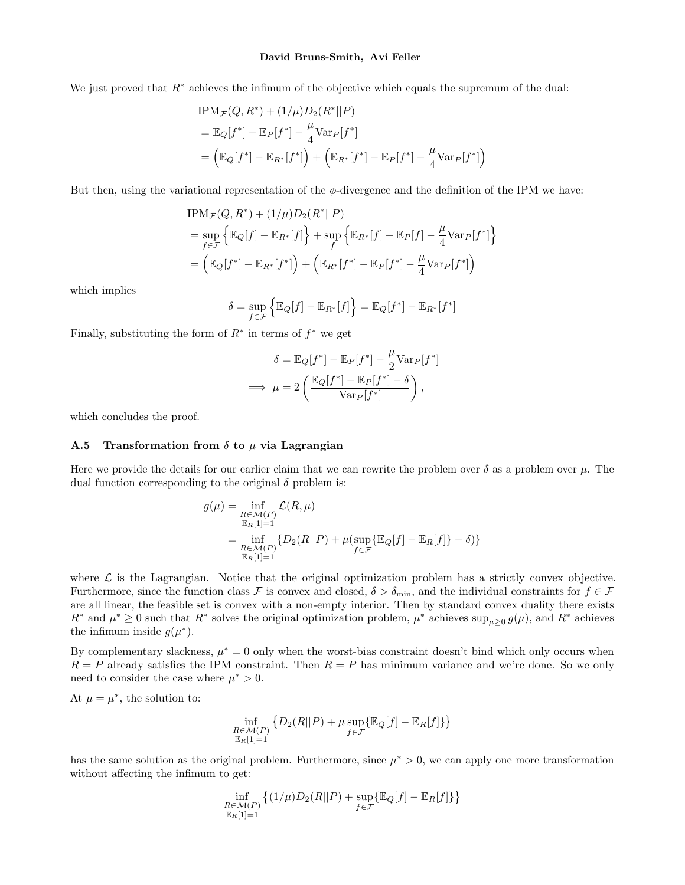We just proved that  $R^*$  achieves the infimum of the objective which equals the supremum of the dual:

$$
IPM_{\mathcal{F}}(Q, R^*) + (1/\mu)D_2(R^*||P)
$$
  
=  $\mathbb{E}_Q[f^*] - \mathbb{E}_P[f^*] - \frac{\mu}{4}Var_P[f^*]$   
=  $(\mathbb{E}_Q[f^*] - \mathbb{E}_{R^*}[f^*]) + (\mathbb{E}_{R^*}[f^*] - \mathbb{E}_P[f^*] - \frac{\mu}{4}Var_P[f^*])$ 

But then, using the variational representation of the  $\phi$ -divergence and the definition of the IPM we have:

$$
\begin{aligned} \text{IPM}_{\mathcal{F}}(Q, R^*) + (1/\mu)D_2(R^*||P) \\ &= \sup_{f \in \mathcal{F}} \left\{ \mathbb{E}_Q[f] - \mathbb{E}_{R^*}[f] \right\} + \sup_f \left\{ \mathbb{E}_{R^*}[f] - \mathbb{E}_P[f] - \frac{\mu}{4} \text{Var}_P[f^*] \right\} \\ &= \left( \mathbb{E}_Q[f^*] - \mathbb{E}_{R^*}[f^*] \right) + \left( \mathbb{E}_{R^*}[f^*] - \mathbb{E}_P[f^*] - \frac{\mu}{4} \text{Var}_P[f^*] \right) \end{aligned}
$$

which implies

$$
\delta = \sup_{f \in \mathcal{F}} \left\{ \mathbb{E}_Q[f] - \mathbb{E}_{R^*}[f] \right\} = \mathbb{E}_Q[f^*] - \mathbb{E}_{R^*}[f^*]
$$

Finally, substituting the form of  $R^*$  in terms of  $f^*$  we get

$$
\delta = \mathbb{E}_{Q}[f^*] - \mathbb{E}_{P}[f^*] - \frac{\mu}{2} \text{Var}_{P}[f^*]
$$

$$
\implies \mu = 2 \left( \frac{\mathbb{E}_{Q}[f^*] - \mathbb{E}_{P}[f^*] - \delta}{\text{Var}_{P}[f^*]} \right),
$$

which concludes the proof.

#### A.5 Transformation from  $\delta$  to  $\mu$  via Lagrangian

Here we provide the details for our earlier claim that we can rewrite the problem over  $\delta$  as a problem over  $\mu$ . The dual function corresponding to the original  $\delta$  problem is:

$$
g(\mu) = \inf_{\substack{R \in \mathcal{M}(P) \\ \mathbb{E}_R[1]=1}} \mathcal{L}(R, \mu)
$$
  
= 
$$
\inf_{\substack{R \in \mathcal{M}(P) \\ \mathbb{E}_R[1]=1}} \{D_2(R||P) + \mu(\sup_{f \in \mathcal{F}} {\mathbb{E}_Q[f]} - \mathbb{E}_R[f]\} - \delta) \}
$$

where  $\mathcal L$  is the Lagrangian. Notice that the original optimization problem has a strictly convex objective. Furthermore, since the function class F is convex and closed,  $\delta > \delta_{\min}$ , and the individual constraints for  $f \in \mathcal{F}$ are all linear, the feasible set is convex with a non-empty interior. Then by standard convex duality there exists  $R^*$  and  $\mu^* \geq 0$  such that  $R^*$  solves the original optimization problem,  $\mu^*$  achieves sup $\mu \geq 0$   $g(\mu)$ , and  $R^*$  achieves the infimum inside  $g(\mu^*)$ .

By complementary slackness,  $\mu^* = 0$  only when the worst-bias constraint doesn't bind which only occurs when  $R = P$  already satisfies the IPM constraint. Then  $R = P$  has minimum variance and we're done. So we only need to consider the case where  $\mu^* > 0$ .

At  $\mu = \mu^*$ , the solution to:

$$
\inf_{\substack{R \in \mathcal{M}(P) \\ \mathbb{E}_R[1]=1}} \left\{ D_2(R||P) + \mu \sup_{f \in \mathcal{F}} \{ \mathbb{E}_Q[f] - \mathbb{E}_R[f] \} \right\}
$$

has the same solution as the original problem. Furthermore, since  $\mu^* > 0$ , we can apply one more transformation without affecting the infimum to get:

$$
\inf_{\substack{R\in\mathcal{M}(P)\\ \mathbb{E}_R[1]=1}} \left\{ (1/\mu)D_2(R||P) + \sup_{f\in\mathcal{F}} \left\{ \mathbb{E}_Q[f] - \mathbb{E}_R[f] \right\} \right\}
$$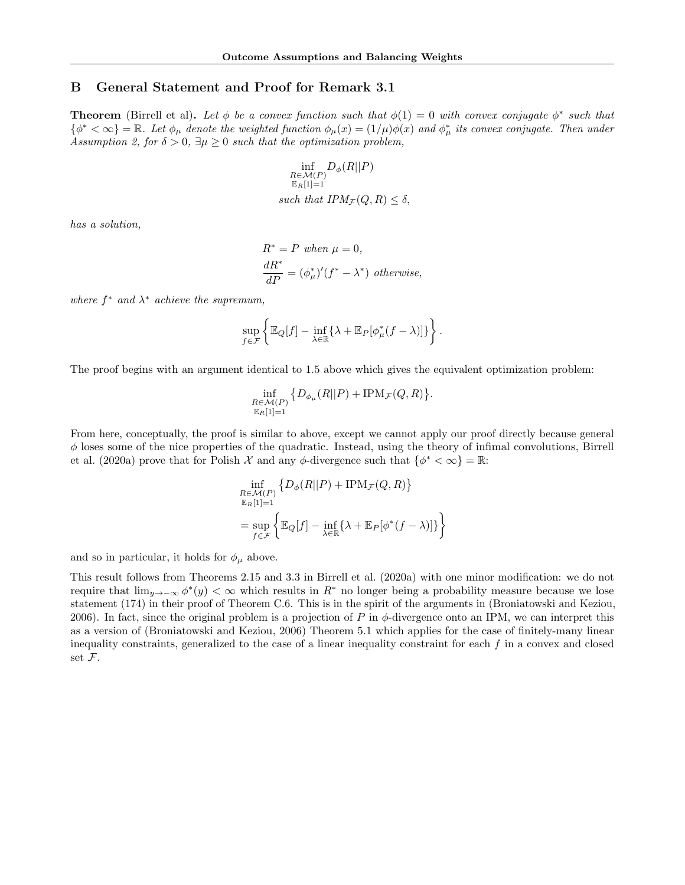## B General Statement and Proof for Remark 3.1

**Theorem** (Birrell et al). Let  $\phi$  be a convex function such that  $\phi(1) = 0$  with convex conjugate  $\phi^*$  such that  $\{\phi^*<\infty\}=\mathbb{R}$ . Let  $\phi_\mu$  denote the weighted function  $\phi_\mu(x)=(1/\mu)\phi(x)$  and  $\phi^*_\mu$  its convex conjugate. Then under Assumption 2, for  $\delta > 0$ ,  $\exists \mu \geq 0$  such that the optimization problem,

$$
\inf_{\substack{R \in \mathcal{M}(P) \\ \mathbb{E}_R[1]=1}} D_{\phi}(R||P)
$$
  
such that  $IPM_{\mathcal{F}}(Q, R) \le \delta$ ,

has a solution,

$$
R^* = P \text{ when } \mu = 0,
$$
  
\n
$$
\frac{dR^*}{dP} = (\phi^*_{\mu})'(f^* - \lambda^*) \text{ otherwise,}
$$

where  $f^*$  and  $\lambda^*$  achieve the supremum,

$$
\sup_{f\in\mathcal{F}}\left\{\mathbb{E}_Q[f] - \inf_{\lambda\in\mathbb{R}}\left\{\lambda + \mathbb{E}_P[\phi_\mu^*(f-\lambda)]\right\}\right\}.
$$

The proof begins with an argument identical to 1.5 above which gives the equivalent optimization problem:

$$
\inf_{\substack{R\in\mathcal{M}(P)\\ \mathbb{E}_R[1]=1}} \big\{ D_{\phi_\mu}(R||P) + \text{IPM}_{\mathcal{F}}(Q,R) \big\}.
$$

From here, conceptually, the proof is similar to above, except we cannot apply our proof directly because general  $\phi$  loses some of the nice properties of the quadratic. Instead, using the theory of infimal convolutions, Birrell et al. (2020a) prove that for Polish X and any  $\phi$ -divergence such that  $\{\phi^* < \infty\} = \mathbb{R}$ .

$$
\inf_{\substack{R \in \mathcal{M}(P) \\ \mathbb{E}_R[1]=1}} \{ D_{\phi}(R||P) + \text{IPM}_{\mathcal{F}}(Q, R) \}
$$
\n
$$
= \sup_{f \in \mathcal{F}} \left\{ \mathbb{E}_Q[f] - \inf_{\lambda \in \mathbb{R}} \{ \lambda + \mathbb{E}_P[\phi^*(f - \lambda)] \} \right\}
$$

and so in particular, it holds for  $\phi_{\mu}$  above.

This result follows from Theorems 2.15 and 3.3 in Birrell et al. (2020a) with one minor modification: we do not require that  $\lim_{y\to-\infty}\phi^*(y)<\infty$  which results in  $R^*$  no longer being a probability measure because we lose statement (174) in their proof of Theorem C.6. This is in the spirit of the arguments in (Broniatowski and Keziou, 2006). In fact, since the original problem is a projection of P in  $\phi$ -divergence onto an IPM, we can interpret this as a version of (Broniatowski and Keziou, 2006) Theorem 5.1 which applies for the case of finitely-many linear inequality constraints, generalized to the case of a linear inequality constraint for each f in a convex and closed set F.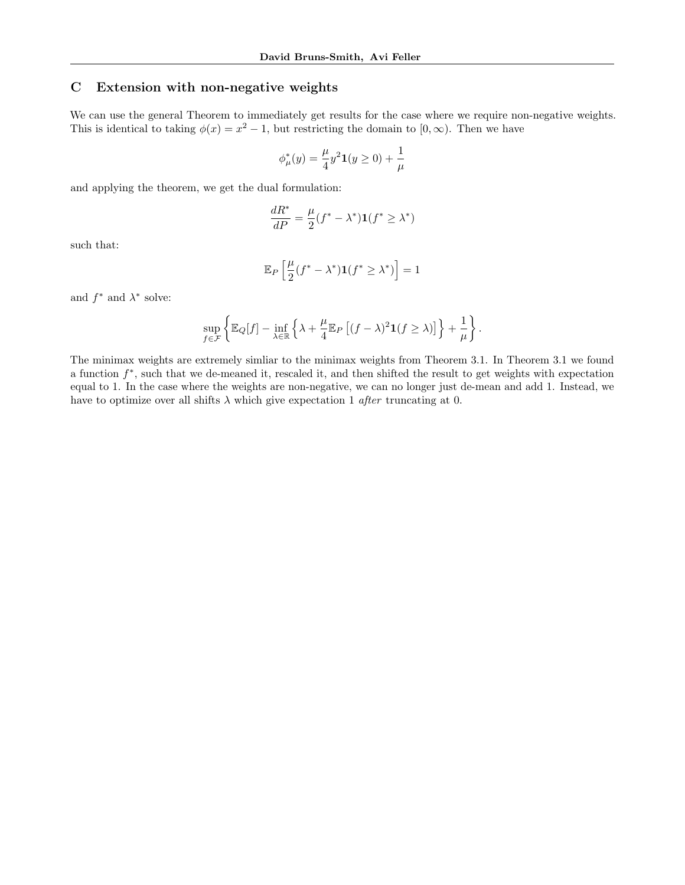## C Extension with non-negative weights

We can use the general Theorem to immediately get results for the case where we require non-negative weights. This is identical to taking  $\phi(x) = x^2 - 1$ , but restricting the domain to  $[0, \infty)$ . Then we have

$$
\phi_{\mu}^*(y) = \frac{\mu}{4} y^2 \mathbf{1}(y \ge 0) + \frac{1}{\mu}
$$

and applying the theorem, we get the dual formulation:

$$
\frac{dR^*}{dP} = \frac{\mu}{2}(f^* - \lambda^*)\mathbf{1}(f^* \ge \lambda^*)
$$

such that:

$$
\mathbb{E}_P\left[\frac{\mu}{2}(f^* - \lambda^*)\mathbf{1}(f^* \geq \lambda^*)\right] = 1
$$

and  $f^*$  and  $\lambda^*$  solve:

$$
\sup_{f\in\mathcal{F}}\left\{\mathbb{E}_Q[f] - \inf_{\lambda\in\mathbb{R}}\left\{\lambda + \frac{\mu}{4}\mathbb{E}_P\left[(f-\lambda)^2\mathbf{1}(f\ge\lambda)\right]\right\} + \frac{1}{\mu}\right\}.
$$

The minimax weights are extremely simliar to the minimax weights from Theorem 3.1. In Theorem 3.1 we found a function  $f^*$ , such that we de-meaned it, rescaled it, and then shifted the result to get weights with expectation equal to 1. In the case where the weights are non-negative, we can no longer just de-mean and add 1. Instead, we have to optimize over all shifts  $\lambda$  which give expectation 1 *after* truncating at 0.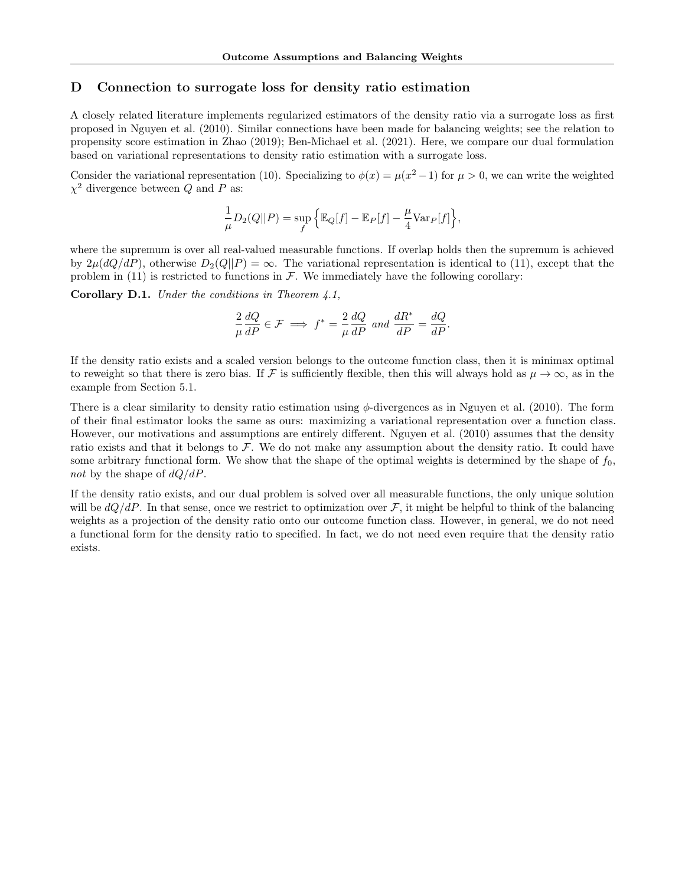## D Connection to surrogate loss for density ratio estimation

A closely related literature implements regularized estimators of the density ratio via a surrogate loss as first proposed in Nguyen et al. (2010). Similar connections have been made for balancing weights; see the relation to propensity score estimation in Zhao (2019); Ben-Michael et al. (2021). Here, we compare our dual formulation based on variational representations to density ratio estimation with a surrogate loss.

Consider the variational representation (10). Specializing to  $\phi(x) = \mu(x^2 - 1)$  for  $\mu > 0$ , we can write the weighted  $\chi^2$  divergence between Q and P as:

$$
\frac{1}{\mu}D_2(Q||P) = \sup_f \left\{ \mathbb{E}_Q[f] - \mathbb{E}_P[f] - \frac{\mu}{4} \text{Var}_P[f] \right\},\,
$$

where the supremum is over all real-valued measurable functions. If overlap holds then the supremum is achieved by  $2\mu(dQ/dP)$ , otherwise  $D_2(Q||P) = \infty$ . The variational representation is identical to (11), except that the problem in (11) is restricted to functions in  $\mathcal F$ . We immediately have the following corollary:

**Corollary D.1.** Under the conditions in Theorem  $\ddagger$ , 1,

$$
\frac{2}{\mu}\frac{dQ}{dP} \in \mathcal{F} \implies f^* = \frac{2}{\mu}\frac{dQ}{dP} \text{ and } \frac{dR^*}{dP} = \frac{dQ}{dP}.
$$

If the density ratio exists and a scaled version belongs to the outcome function class, then it is minimax optimal to reweight so that there is zero bias. If F is sufficiently flexible, then this will always hold as  $\mu \to \infty$ , as in the example from Section 5.1.

There is a clear similarity to density ratio estimation using  $\phi$ -divergences as in Nguyen et al. (2010). The form of their final estimator looks the same as ours: maximizing a variational representation over a function class. However, our motivations and assumptions are entirely different. Nguyen et al. (2010) assumes that the density ratio exists and that it belongs to  $\mathcal{F}$ . We do not make any assumption about the density ratio. It could have some arbitrary functional form. We show that the shape of the optimal weights is determined by the shape of  $f_0$ , not by the shape of  $dQ/dP$ .

If the density ratio exists, and our dual problem is solved over all measurable functions, the only unique solution will be  $dQ/dP$ . In that sense, once we restrict to optimization over F, it might be helpful to think of the balancing weights as a projection of the density ratio onto our outcome function class. However, in general, we do not need a functional form for the density ratio to specified. In fact, we do not need even require that the density ratio exists.